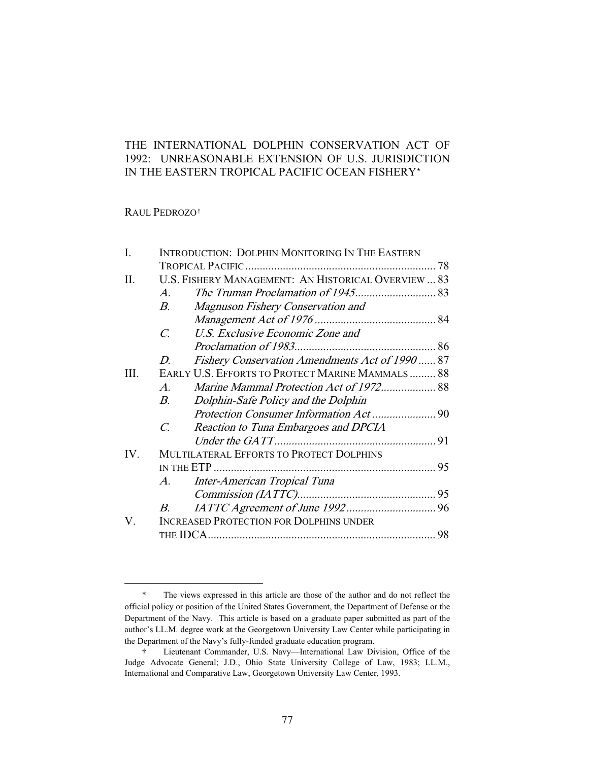# THE INTERNATIONAL DOLPHIN CONSERVATION ACT OF 1992: UNREASONABLE EXTENSION OF U.S. JURISDICTION IN THE EASTERN TROPICAL PACIFIC OCEAN FISHERY\*

## RAUL PEDROZO†

| Ι.   | INTRODUCTION: DOLPHIN MONITORING IN THE EASTERN         |    |
|------|---------------------------------------------------------|----|
|      |                                                         |    |
| Н.   | U.S. FISHERY MANAGEMENT: AN HISTORICAL OVERVIEW  83     |    |
|      | A.                                                      |    |
|      | Magnuson Fishery Conservation and<br>$B_{\cdot}$        |    |
|      |                                                         |    |
|      | U.S. Exclusive Economic Zone and<br>$\overline{C}$      |    |
|      |                                                         |    |
|      | Fishery Conservation Amendments Act of 1990  87<br>D.   |    |
| III. | EARLY U.S. EFFORTS TO PROTECT MARINE MAMMALS 88         |    |
|      | A.                                                      |    |
|      | Dolphin-Safe Policy and the Dolphin<br>B.               |    |
|      |                                                         |    |
|      | $\mathcal{C}$ .<br>Reaction to Tuna Embargoes and DPCIA |    |
|      |                                                         |    |
| IV.  | MULTILATERAL EFFORTS TO PROTECT DOLPHINS                |    |
|      |                                                         |    |
|      | Inter-American Tropical Tuna<br>A.                      |    |
|      |                                                         |    |
|      | В.                                                      |    |
| V.   | <b>INCREASED PROTECTION FOR DOLPHINS UNDER</b>          |    |
|      |                                                         | 98 |

<sup>\*</sup> The views expressed in this article are those of the author and do not reflect the official policy or position of the United States Government, the Department of Defense or the Department of the Navy. This article is based on a graduate paper submitted as part of the author's LL.M. degree work at the Georgetown University Law Center while participating in the Department of the Navy's fully-funded graduate education program.

<sup>†</sup> Lieutenant Commander, U.S. Navy—International Law Division, Office of the Judge Advocate General; J.D., Ohio State University College of Law, 1983; LL.M., International and Comparative Law, Georgetown University Law Center, 1993.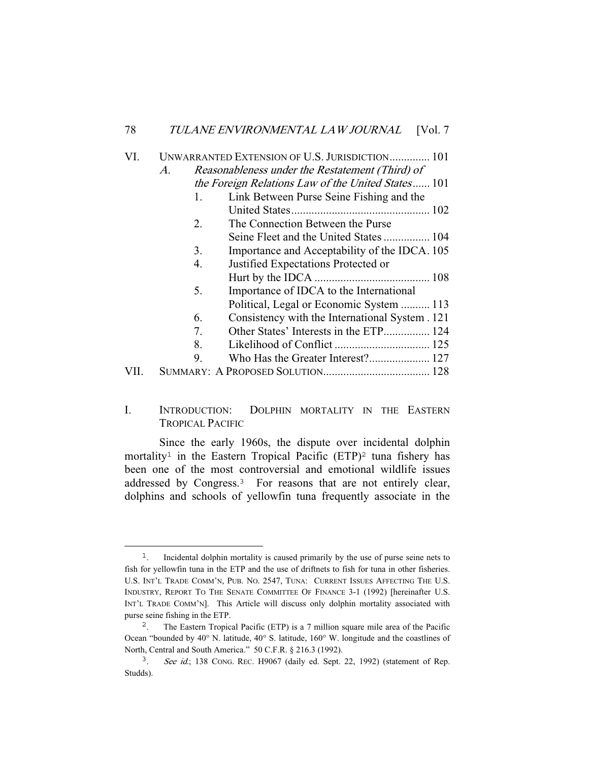| VI. | UNWARRANTED EXTENSION OF U.S. JURISDICTION 101 |                                                    |  |  |  |  |
|-----|------------------------------------------------|----------------------------------------------------|--|--|--|--|
|     | $\mathcal{A}.$                                 | Reasonableness under the Restatement (Third) of    |  |  |  |  |
|     |                                                | the Foreign Relations Law of the United States 101 |  |  |  |  |
|     | 1.                                             | Link Between Purse Seine Fishing and the           |  |  |  |  |
|     |                                                |                                                    |  |  |  |  |
|     | 2.                                             | The Connection Between the Purse                   |  |  |  |  |
|     |                                                | Seine Fleet and the United States  104             |  |  |  |  |
|     | 3.                                             | Importance and Acceptability of the IDCA. 105      |  |  |  |  |
|     | $\overline{4}$ .                               | Justified Expectations Protected or                |  |  |  |  |
|     |                                                |                                                    |  |  |  |  |
|     | 5.                                             | Importance of IDCA to the International            |  |  |  |  |
|     |                                                | Political, Legal or Economic System  113           |  |  |  |  |
|     | 6.                                             | Consistency with the International System . 121    |  |  |  |  |
|     | 7.                                             | Other States' Interests in the ETP 124             |  |  |  |  |
|     | 8.                                             |                                                    |  |  |  |  |
|     | 9.                                             |                                                    |  |  |  |  |
|     |                                                |                                                    |  |  |  |  |

# I. INTRODUCTION: DOLPHIN MORTALITY IN THE EASTERN TROPICAL PACIFIC

 Since the early 1960s, the dispute over incidental dolphin mortality<sup>1</sup> in the Eastern Tropical Pacific  $(ETP)^2$  tuna fishery has been one of the most controversial and emotional wildlife issues addressed by Congress.<sup>3</sup> For reasons that are not entirely clear, dolphins and schools of yellowfin tuna frequently associate in the

<sup>&</sup>lt;sup>1</sup>. Incidental dolphin mortality is caused primarily by the use of purse seine nets to fish for yellowfin tuna in the ETP and the use of driftnets to fish for tuna in other fisheries. U.S. INT'L TRADE COMM'N, PUB. NO. 2547, TUNA: CURRENT ISSUES AFFECTING THE U.S. INDUSTRY, REPORT TO THE SENATE COMMITTEE OF FINANCE 3-1 (1992) [hereinafter U.S. INT'L TRADE COMM'N]. This Article will discuss only dolphin mortality associated with purse seine fishing in the ETP.

<sup>2</sup>. The Eastern Tropical Pacific (ETP) is a 7 million square mile area of the Pacific Ocean "bounded by 40° N. latitude, 40° S. latitude, 160° W. longitude and the coastlines of North, Central and South America." 50 C.F.R. § 216.3 (1992).

<sup>&</sup>lt;sup>3</sup>. See id.; 138 CONG. REC. H9067 (daily ed. Sept. 22, 1992) (statement of Rep. Studds).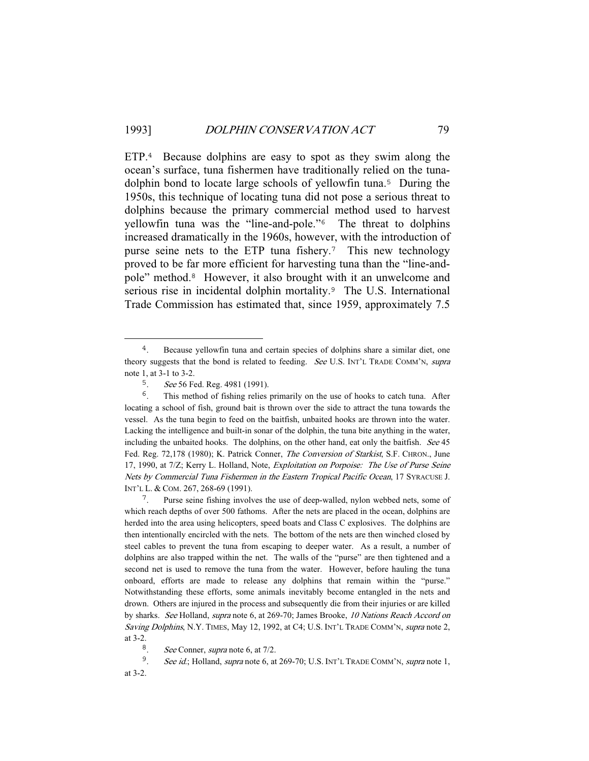ETP.<sup>4</sup> Because dolphins are easy to spot as they swim along the ocean's surface, tuna fishermen have traditionally relied on the tunadolphin bond to locate large schools of yellowfin tuna.<sup>5</sup> During the 1950s, this technique of locating tuna did not pose a serious threat to dolphins because the primary commercial method used to harvest yellowfin tuna was the "line-and-pole."<sup>6</sup> The threat to dolphins increased dramatically in the 1960s, however, with the introduction of purse seine nets to the ETP tuna fishery.<sup>7</sup> This new technology proved to be far more efficient for harvesting tuna than the "line-andpole" method.<sup>8</sup> However, it also brought with it an unwelcome and serious rise in incidental dolphin mortality.<sup>9</sup> The U.S. International Trade Commission has estimated that, since 1959, approximately 7.5

<sup>4</sup>. Because yellowfin tuna and certain species of dolphins share a similar diet, one theory suggests that the bond is related to feeding. See U.S. INT'L TRADE COMM'N, supra note 1, at 3-1 to 3-2.

<sup>&</sup>lt;sup>5</sup>. See 56 Fed. Reg. 4981 (1991).

<sup>&</sup>lt;sup>6</sup>. This method of fishing relies primarily on the use of hooks to catch tuna. After locating a school of fish, ground bait is thrown over the side to attract the tuna towards the vessel. As the tuna begin to feed on the baitfish, unbaited hooks are thrown into the water. Lacking the intelligence and built-in sonar of the dolphin, the tuna bite anything in the water, including the unbaited hooks. The dolphins, on the other hand, eat only the baitfish. See 45 Fed. Reg. 72,178 (1980); K. Patrick Conner, *The Conversion of Starkist*, S.F. CHRON., June 17, 1990, at 7/Z; Kerry L. Holland, Note, Exploitation on Porpoise: The Use of Purse Seine Nets by Commercial Tuna Fishermen in the Eastern Tropical Pacific Ocean, 17 SYRACUSE J. INT'L L. & COM. 267, 268-69 (1991).

<sup>&</sup>lt;sup>7</sup>. Purse seine fishing involves the use of deep-walled, nylon webbed nets, some of which reach depths of over 500 fathoms. After the nets are placed in the ocean, dolphins are herded into the area using helicopters, speed boats and Class C explosives. The dolphins are then intentionally encircled with the nets. The bottom of the nets are then winched closed by steel cables to prevent the tuna from escaping to deeper water. As a result, a number of dolphins are also trapped within the net. The walls of the "purse" are then tightened and a second net is used to remove the tuna from the water. However, before hauling the tuna onboard, efforts are made to release any dolphins that remain within the "purse." Notwithstanding these efforts, some animals inevitably become entangled in the nets and drown. Others are injured in the process and subsequently die from their injuries or are killed by sharks. See Holland, supra note 6, at 269-70; James Brooke, 10 Nations Reach Accord on Saving Dolphins, N.Y. TIMES, May 12, 1992, at C4; U.S. INT'L TRADE COMM'N, supra note 2, at 3-2.

<sup>&</sup>lt;sup>8</sup>. See Conner, *supra* note 6, at  $7/2$ .

<sup>&</sup>lt;sup>9</sup>. See id.; Holland, supra note 6, at 269-70; U.S. INT'L TRADE COMM'N, supra note 1,

at 3-2.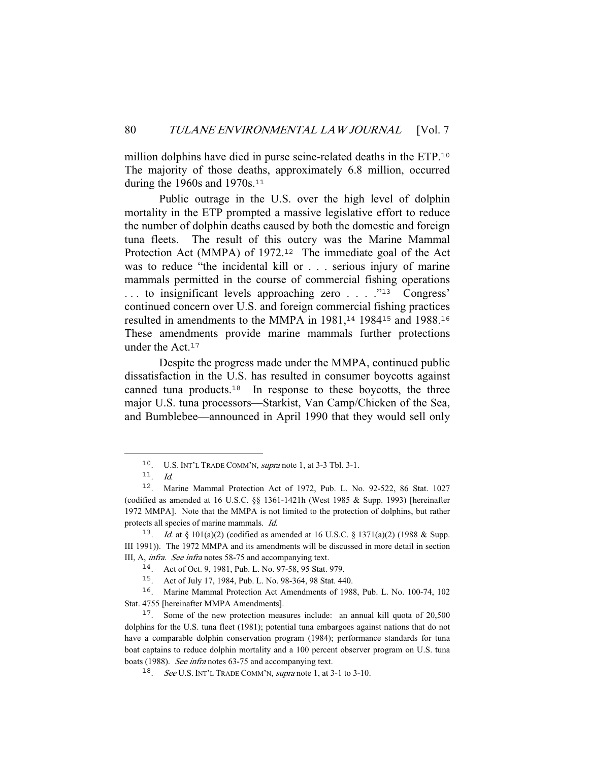million dolphins have died in purse seine-related deaths in the ETP.<sup>10</sup> The majority of those deaths, approximately 6.8 million, occurred during the 1960s and 1970s.<sup>11</sup>

 Public outrage in the U.S. over the high level of dolphin mortality in the ETP prompted a massive legislative effort to reduce the number of dolphin deaths caused by both the domestic and foreign tuna fleets. The result of this outcry was the Marine Mammal Protection Act (MMPA) of 1972.<sup>12</sup> The immediate goal of the Act was to reduce "the incidental kill or . . . serious injury of marine mammals permitted in the course of commercial fishing operations ... to insignificant levels approaching zero ... . .<sup>"13</sup> Congress' continued concern over U.S. and foreign commercial fishing practices resulted in amendments to the MMPA in 1981,<sup>14</sup> 1984<sup>15</sup> and 1988.<sup>16</sup> These amendments provide marine mammals further protections under the Act.<sup>17</sup>

 Despite the progress made under the MMPA, continued public dissatisfaction in the U.S. has resulted in consumer boycotts against canned tuna products.<sup>18</sup> In response to these boycotts, the three major U.S. tuna processors—Starkist, Van Camp/Chicken of the Sea, and Bumblebee—announced in April 1990 that they would sell only

<sup>10</sup>. U.S. INT'L TRADE COMM'N, supra note 1, at 3-3 Tbl. 3-1.

<sup>11</sup>. Id.

<sup>12</sup>. Marine Mammal Protection Act of 1972, Pub. L. No. 92-522, 86 Stat. 1027 (codified as amended at 16 U.S.C. §§ 1361-1421h (West 1985 & Supp. 1993) [hereinafter 1972 MMPA]. Note that the MMPA is not limited to the protection of dolphins, but rather protects all species of marine mammals. Id.

<sup>13</sup>. Id. at § 101(a)(2) (codified as amended at 16 U.S.C. § 1371(a)(2) (1988 & Supp. III 1991)). The 1972 MMPA and its amendments will be discussed in more detail in section III, A, infra. See infra notes 58-75 and accompanying text.

<sup>14</sup>. Act of Oct. 9, 1981, Pub. L. No. 97-58, 95 Stat. 979.

<sup>15</sup>. Act of July 17, 1984, Pub. L. No. 98-364, 98 Stat. 440.

<sup>16</sup>. Marine Mammal Protection Act Amendments of 1988, Pub. L. No. 100-74, 102 Stat. 4755 [hereinafter MMPA Amendments].

<sup>17</sup>. Some of the new protection measures include: an annual kill quota of 20,500 dolphins for the U.S. tuna fleet (1981); potential tuna embargoes against nations that do not have a comparable dolphin conservation program (1984); performance standards for tuna boat captains to reduce dolphin mortality and a 100 percent observer program on U.S. tuna boats (1988). See infra notes 63-75 and accompanying text.

<sup>18</sup>. See U.S. INT'L TRADE COMM'N, supra note 1, at 3-1 to 3-10.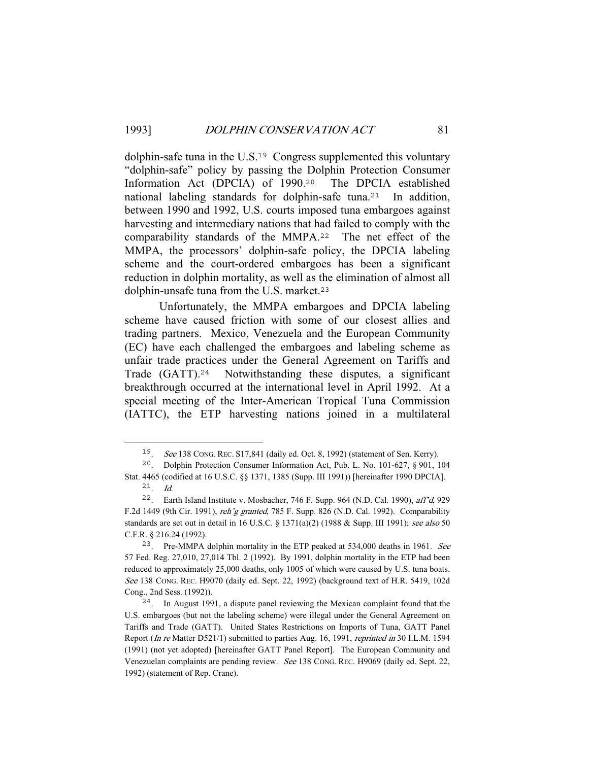dolphin-safe tuna in the U.S.<sup>19</sup> Congress supplemented this voluntary "dolphin-safe" policy by passing the Dolphin Protection Consumer Information Act (DPCIA) of 1990.<sup>20</sup> The DPCIA established national labeling standards for dolphin-safe tuna.<sup>21</sup> In addition, between 1990 and 1992, U.S. courts imposed tuna embargoes against harvesting and intermediary nations that had failed to comply with the comparability standards of the MMPA.<sup>22</sup> The net effect of the MMPA, the processors' dolphin-safe policy, the DPCIA labeling scheme and the court-ordered embargoes has been a significant reduction in dolphin mortality, as well as the elimination of almost all dolphin-unsafe tuna from the U.S. market.<sup>23</sup>

 Unfortunately, the MMPA embargoes and DPCIA labeling scheme have caused friction with some of our closest allies and trading partners. Mexico, Venezuela and the European Community (EC) have each challenged the embargoes and labeling scheme as unfair trade practices under the General Agreement on Tariffs and Trade (GATT).<sup>24</sup> Notwithstanding these disputes, a significant breakthrough occurred at the international level in April 1992. At a special meeting of the Inter-American Tropical Tuna Commission (IATTC), the ETP harvesting nations joined in a multilateral

<sup>19</sup>. See 138 CONG. REC. S17,841 (daily ed. Oct. 8, 1992) (statement of Sen. Kerry).

<sup>20</sup>. Dolphin Protection Consumer Information Act, Pub. L. No. 101-627, § 901, 104 Stat. 4465 (codified at 16 U.S.C. §§ 1371, 1385 (Supp. III 1991)) [hereinafter 1990 DPCIA]. <sup>21</sup>. Id.

<sup>22</sup>. Earth Island Institute v. Mosbacher, 746 F. Supp. 964 (N.D. Cal. 1990), aff'd, 929 F.2d 1449 (9th Cir. 1991), reh'g granted, 785 F. Supp. 826 (N.D. Cal. 1992). Comparability standards are set out in detail in 16 U.S.C. § 1371(a)(2) (1988 & Supp. III 1991); see also 50 C.F.R. § 216.24 (1992).

<sup>&</sup>lt;sup>23</sup>. Pre-MMPA dolphin mortality in the ETP peaked at  $534,000$  deaths in 1961. See 57 Fed. Reg. 27,010, 27,014 Tbl. 2 (1992). By 1991, dolphin mortality in the ETP had been reduced to approximately 25,000 deaths, only 1005 of which were caused by U.S. tuna boats. See 138 CONG. REC. H9070 (daily ed. Sept. 22, 1992) (background text of H.R. 5419, 102d Cong., 2nd Sess. (1992)).

<sup>24</sup>. In August 1991, a dispute panel reviewing the Mexican complaint found that the U.S. embargoes (but not the labeling scheme) were illegal under the General Agreement on Tariffs and Trade (GATT). United States Restrictions on Imports of Tuna, GATT Panel Report (In re Matter D521/1) submitted to parties Aug. 16, 1991, reprinted in 30 I.L.M. 1594 (1991) (not yet adopted) [hereinafter GATT Panel Report]. The European Community and Venezuelan complaints are pending review. See 138 CONG. REC. H9069 (daily ed. Sept. 22, 1992) (statement of Rep. Crane).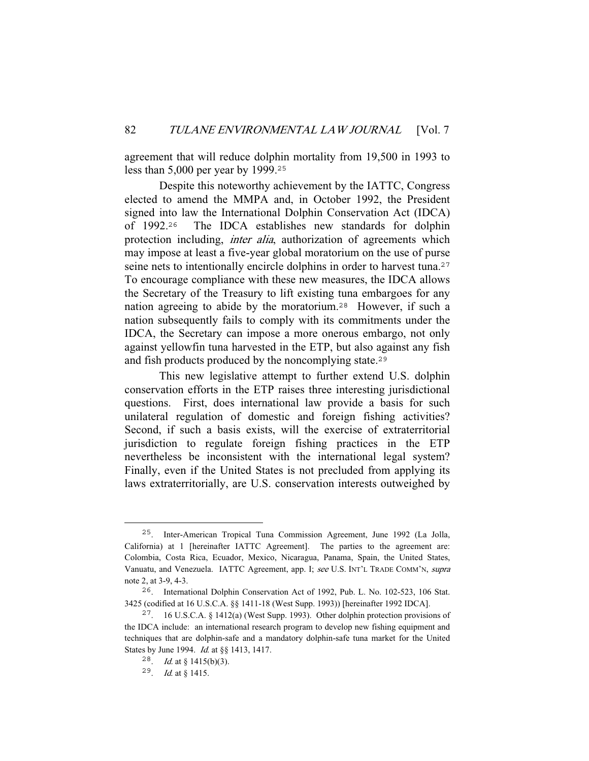agreement that will reduce dolphin mortality from 19,500 in 1993 to less than 5,000 per year by 1999.<sup>25</sup>

 Despite this noteworthy achievement by the IATTC, Congress elected to amend the MMPA and, in October 1992, the President signed into law the International Dolphin Conservation Act (IDCA) of 1992.<sup>26</sup> The IDCA establishes new standards for dolphin protection including, *inter alia*, authorization of agreements which may impose at least a five-year global moratorium on the use of purse seine nets to intentionally encircle dolphins in order to harvest tuna.<sup>27</sup> To encourage compliance with these new measures, the IDCA allows the Secretary of the Treasury to lift existing tuna embargoes for any nation agreeing to abide by the moratorium.<sup>28</sup> However, if such a nation subsequently fails to comply with its commitments under the IDCA, the Secretary can impose a more onerous embargo, not only against yellowfin tuna harvested in the ETP, but also against any fish and fish products produced by the noncomplying state.<sup>29</sup>

 This new legislative attempt to further extend U.S. dolphin conservation efforts in the ETP raises three interesting jurisdictional questions. First, does international law provide a basis for such unilateral regulation of domestic and foreign fishing activities? Second, if such a basis exists, will the exercise of extraterritorial jurisdiction to regulate foreign fishing practices in the ETP nevertheless be inconsistent with the international legal system? Finally, even if the United States is not precluded from applying its laws extraterritorially, are U.S. conservation interests outweighed by

<sup>25</sup>. Inter-American Tropical Tuna Commission Agreement, June 1992 (La Jolla, California) at 1 [hereinafter IATTC Agreement]. The parties to the agreement are: Colombia, Costa Rica, Ecuador, Mexico, Nicaragua, Panama, Spain, the United States, Vanuatu, and Venezuela. IATTC Agreement, app. I; see U.S. INT'L TRADE COMM'N, supra note 2, at 3-9, 4-3.

<sup>26</sup>. International Dolphin Conservation Act of 1992, Pub. L. No. 102-523, 106 Stat. 3425 (codified at 16 U.S.C.A. §§ 1411-18 (West Supp. 1993)) [hereinafter 1992 IDCA].

<sup>27</sup>. 16 U.S.C.A. § 1412(a) (West Supp. 1993). Other dolphin protection provisions of the IDCA include: an international research program to develop new fishing equipment and techniques that are dolphin-safe and a mandatory dolphin-safe tuna market for the United States by June 1994. Id. at §§ 1413, 1417.

<sup>28.</sup> *Id.* at  $\S$  1415(b)(3).

<sup>29</sup>. Id. at § 1415.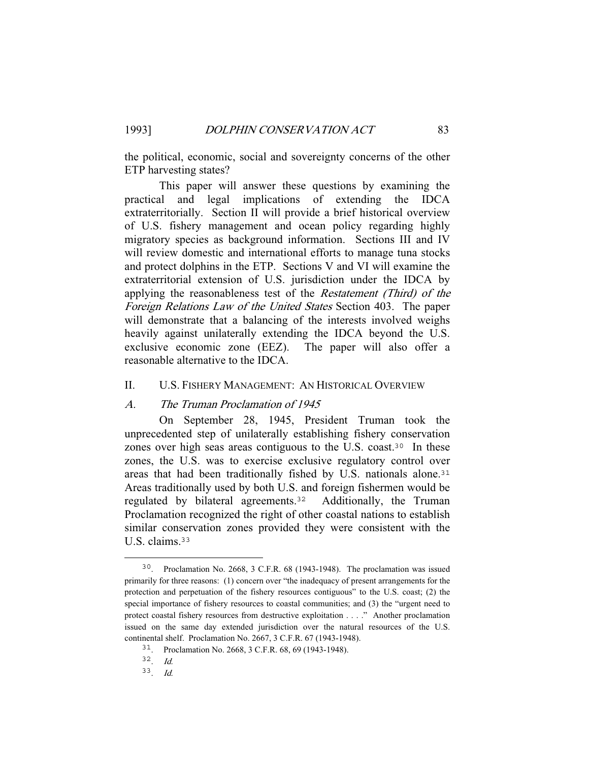the political, economic, social and sovereignty concerns of the other ETP harvesting states?

 This paper will answer these questions by examining the practical and legal implications of extending the IDCA extraterritorially. Section II will provide a brief historical overview of U.S. fishery management and ocean policy regarding highly migratory species as background information. Sections III and IV will review domestic and international efforts to manage tuna stocks and protect dolphins in the ETP. Sections V and VI will examine the extraterritorial extension of U.S. jurisdiction under the IDCA by applying the reasonableness test of the Restatement (Third) of the Foreign Relations Law of the United States Section 403. The paper will demonstrate that a balancing of the interests involved weighs heavily against unilaterally extending the IDCA beyond the U.S. exclusive economic zone (EEZ). The paper will also offer a reasonable alternative to the IDCA.

### II. U.S. FISHERY MANAGEMENT: AN HISTORICAL OVERVIEW

#### A. The Truman Proclamation of 1945

 On September 28, 1945, President Truman took the unprecedented step of unilaterally establishing fishery conservation zones over high seas areas contiguous to the U.S. coast.<sup>30</sup> In these zones, the U.S. was to exercise exclusive regulatory control over areas that had been traditionally fished by U.S. nationals alone.<sup>31</sup> Areas traditionally used by both U.S. and foreign fishermen would be regulated by bilateral agreements.<sup>32</sup> Additionally, the Truman Proclamation recognized the right of other coastal nations to establish similar conservation zones provided they were consistent with the U.S. claims.<sup>33</sup>

<sup>30</sup>. Proclamation No. 2668, 3 C.F.R. 68 (1943-1948). The proclamation was issued primarily for three reasons: (1) concern over "the inadequacy of present arrangements for the protection and perpetuation of the fishery resources contiguous" to the U.S. coast; (2) the special importance of fishery resources to coastal communities; and (3) the "urgent need to protect coastal fishery resources from destructive exploitation . . . ." Another proclamation issued on the same day extended jurisdiction over the natural resources of the U.S. continental shelf. Proclamation No. 2667, 3 C.F.R. 67 (1943-1948).

<sup>31</sup>. Proclamation No. 2668, 3 C.F.R. 68, 69 (1943-1948).

<sup>32</sup>. Id.

 $33$ . Id.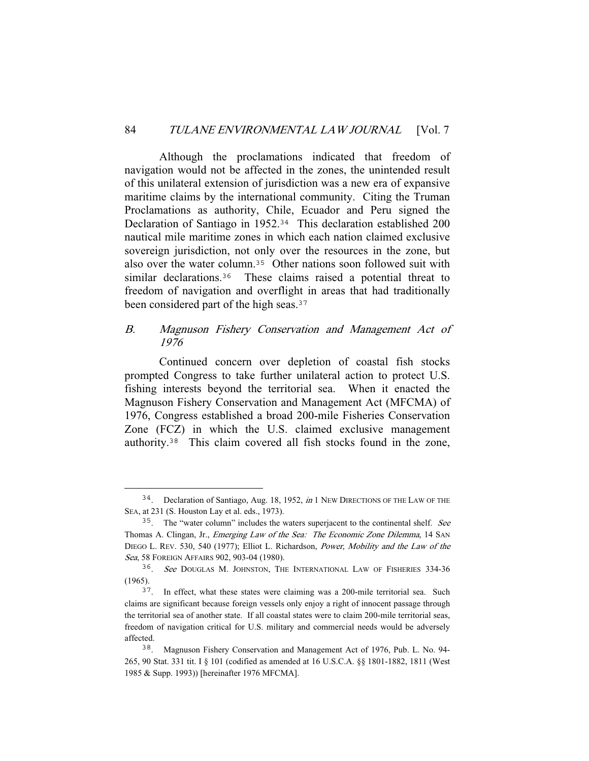Although the proclamations indicated that freedom of navigation would not be affected in the zones, the unintended result of this unilateral extension of jurisdiction was a new era of expansive maritime claims by the international community. Citing the Truman Proclamations as authority, Chile, Ecuador and Peru signed the Declaration of Santiago in 1952.<sup>34</sup> This declaration established 200 nautical mile maritime zones in which each nation claimed exclusive sovereign jurisdiction, not only over the resources in the zone, but also over the water column.<sup>35</sup> Other nations soon followed suit with similar declarations.<sup>36</sup> These claims raised a potential threat to freedom of navigation and overflight in areas that had traditionally been considered part of the high seas.<sup>37</sup>

## B. Magnuson Fishery Conservation and Management Act of 1976

 Continued concern over depletion of coastal fish stocks prompted Congress to take further unilateral action to protect U.S. fishing interests beyond the territorial sea. When it enacted the Magnuson Fishery Conservation and Management Act (MFCMA) of 1976, Congress established a broad 200-mile Fisheries Conservation Zone (FCZ) in which the U.S. claimed exclusive management authority.<sup>38</sup> This claim covered all fish stocks found in the zone,

<sup>&</sup>lt;sup>34</sup>. Declaration of Santiago, Aug. 18, 1952, in 1 NEW DIRECTIONS OF THE LAW OF THE SEA, at 231 (S. Houston Lay et al. eds., 1973).

<sup>&</sup>lt;sup>35</sup>. The "water column" includes the waters superjacent to the continental shelf. See Thomas A. Clingan, Jr., Emerging Law of the Sea: The Economic Zone Dilemma, 14 SAN DIEGO L. REV. 530, 540 (1977); Elliot L. Richardson, Power, Mobility and the Law of the Sea, 58 FOREIGN AFFAIRS 902, 903-04 (1980).

<sup>36</sup>. See DOUGLAS M. JOHNSTON, THE INTERNATIONAL LAW OF FISHERIES 334-36 (1965).

<sup>37</sup>. In effect, what these states were claiming was a 200-mile territorial sea. Such claims are significant because foreign vessels only enjoy a right of innocent passage through the territorial sea of another state. If all coastal states were to claim 200-mile territorial seas, freedom of navigation critical for U.S. military and commercial needs would be adversely affected.

<sup>38</sup>. Magnuson Fishery Conservation and Management Act of 1976, Pub. L. No. 94- 265, 90 Stat. 331 tit. I § 101 (codified as amended at 16 U.S.C.A. §§ 1801-1882, 1811 (West 1985 & Supp. 1993)) [hereinafter 1976 MFCMA].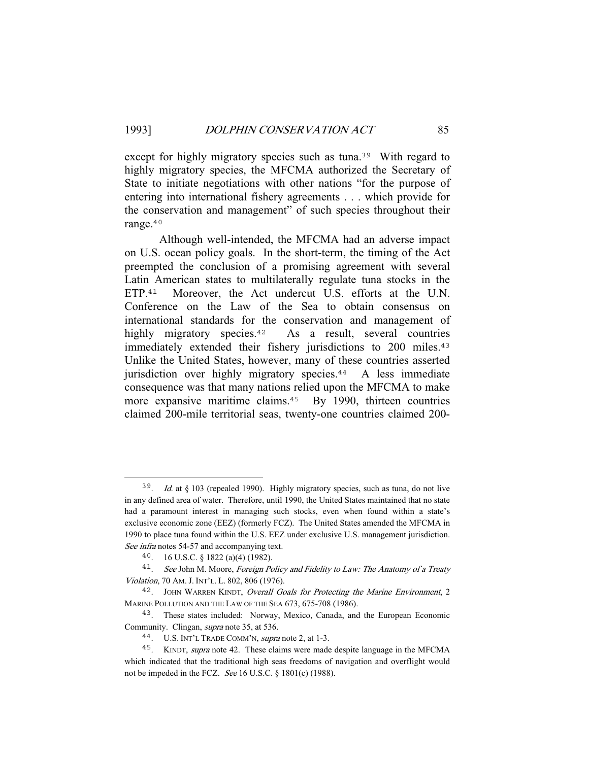except for highly migratory species such as tuna.<sup>39</sup> With regard to highly migratory species, the MFCMA authorized the Secretary of State to initiate negotiations with other nations "for the purpose of entering into international fishery agreements . . . which provide for the conservation and management" of such species throughout their range.<sup>40</sup>

 Although well-intended, the MFCMA had an adverse impact on U.S. ocean policy goals. In the short-term, the timing of the Act preempted the conclusion of a promising agreement with several Latin American states to multilaterally regulate tuna stocks in the ETP.<sup>41</sup> Moreover, the Act undercut U.S. efforts at the U.N. Conference on the Law of the Sea to obtain consensus on international standards for the conservation and management of highly migratory species.<sup>42</sup> As a result, several countries immediately extended their fishery jurisdictions to 200 miles.<sup>43</sup> Unlike the United States, however, many of these countries asserted jurisdiction over highly migratory species.<sup>44</sup> A less immediate consequence was that many nations relied upon the MFCMA to make more expansive maritime claims.<sup>45</sup> By 1990, thirteen countries claimed 200-mile territorial seas, twenty-one countries claimed 200-

<sup>&</sup>lt;sup>39</sup>. Id. at § 103 (repealed 1990). Highly migratory species, such as tuna, do not live in any defined area of water. Therefore, until 1990, the United States maintained that no state had a paramount interest in managing such stocks, even when found within a state's exclusive economic zone (EEZ) (formerly FCZ). The United States amended the MFCMA in 1990 to place tuna found within the U.S. EEZ under exclusive U.S. management jurisdiction. See infra notes 54-57 and accompanying text.

<sup>40</sup>. 16 U.S.C. § 1822 (a)(4) (1982).

<sup>&</sup>lt;sup>41</sup>. See John M. Moore, Foreign Policy and Fidelity to Law: The Anatomy of a Treaty Violation, 70 AM.J. INT'L. L. 802, 806 (1976).

<sup>&</sup>lt;sup>42</sup>. JOHN WARREN KINDT, Overall Goals for Protecting the Marine Environment, 2 MARINE POLLUTION AND THE LAW OF THE SEA 673, 675-708 (1986).

<sup>43</sup>. These states included: Norway, Mexico, Canada, and the European Economic Community. Clingan, supra note 35, at 536.

<sup>44</sup>. U.S. INT'L TRADE COMM'N, supra note 2, at 1-3.

<sup>45</sup>. KINDT, supra note 42. These claims were made despite language in the MFCMA which indicated that the traditional high seas freedoms of navigation and overflight would not be impeded in the FCZ. See 16 U.S.C.  $\S$  1801(c) (1988).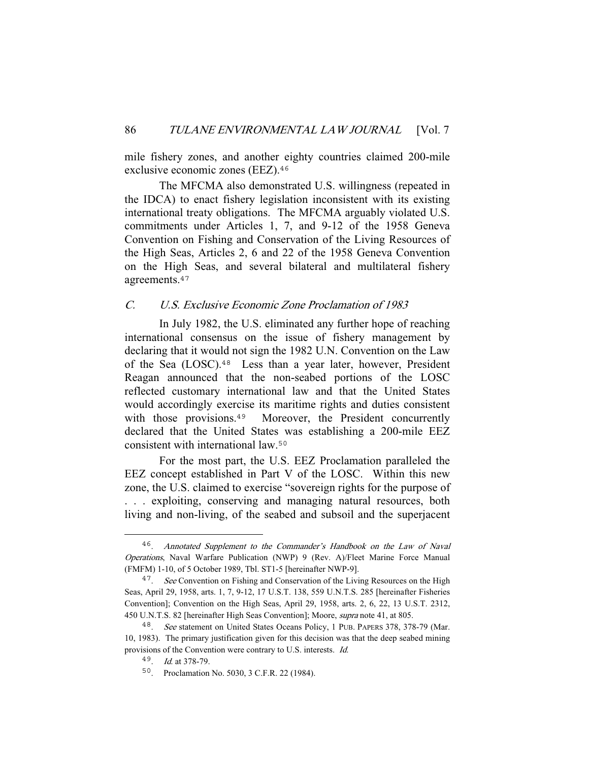mile fishery zones, and another eighty countries claimed 200-mile exclusive economic zones (EEZ).<sup>46</sup>

 The MFCMA also demonstrated U.S. willingness (repeated in the IDCA) to enact fishery legislation inconsistent with its existing international treaty obligations. The MFCMA arguably violated U.S. commitments under Articles 1, 7, and 9-12 of the 1958 Geneva Convention on Fishing and Conservation of the Living Resources of the High Seas, Articles 2, 6 and 22 of the 1958 Geneva Convention on the High Seas, and several bilateral and multilateral fishery agreements.<sup>47</sup>

## C. U.S. Exclusive Economic Zone Proclamation of 1983

 In July 1982, the U.S. eliminated any further hope of reaching international consensus on the issue of fishery management by declaring that it would not sign the 1982 U.N. Convention on the Law of the Sea (LOSC).<sup>48</sup> Less than a year later, however, President Reagan announced that the non-seabed portions of the LOSC reflected customary international law and that the United States would accordingly exercise its maritime rights and duties consistent with those provisions.<sup>49</sup> Moreover, the President concurrently declared that the United States was establishing a 200-mile EEZ consistent with international law.<sup>50</sup>

 For the most part, the U.S. EEZ Proclamation paralleled the EEZ concept established in Part V of the LOSC. Within this new zone, the U.S. claimed to exercise "sovereign rights for the purpose of . . . exploiting, conserving and managing natural resources, both living and non-living, of the seabed and subsoil and the superjacent

<sup>46</sup>. Annotated Supplement to the Commander's Handbook on the Law of Naval Operations, Naval Warfare Publication (NWP) 9 (Rev. A)/Fleet Marine Force Manual (FMFM) 1-10, of 5 October 1989, Tbl. ST1-5 [hereinafter NWP-9].

<sup>&</sup>lt;sup>47</sup>. See Convention on Fishing and Conservation of the Living Resources on the High Seas, April 29, 1958, arts. 1, 7, 9-12, 17 U.S.T. 138, 559 U.N.T.S. 285 [hereinafter Fisheries Convention]; Convention on the High Seas, April 29, 1958, arts. 2, 6, 22, 13 U.S.T. 2312, 450 U.N.T.S. 82 [hereinafter High Seas Convention]; Moore, supra note 41, at 805.

<sup>48</sup>. See statement on United States Oceans Policy, 1 PUB. PAPERS 378, 378-79 (Mar. 10, 1983). The primary justification given for this decision was that the deep seabed mining provisions of the Convention were contrary to U.S. interests. Id.

<sup>49</sup>. Id. at 378-79.

<sup>50</sup>. Proclamation No. 5030, 3 C.F.R. 22 (1984).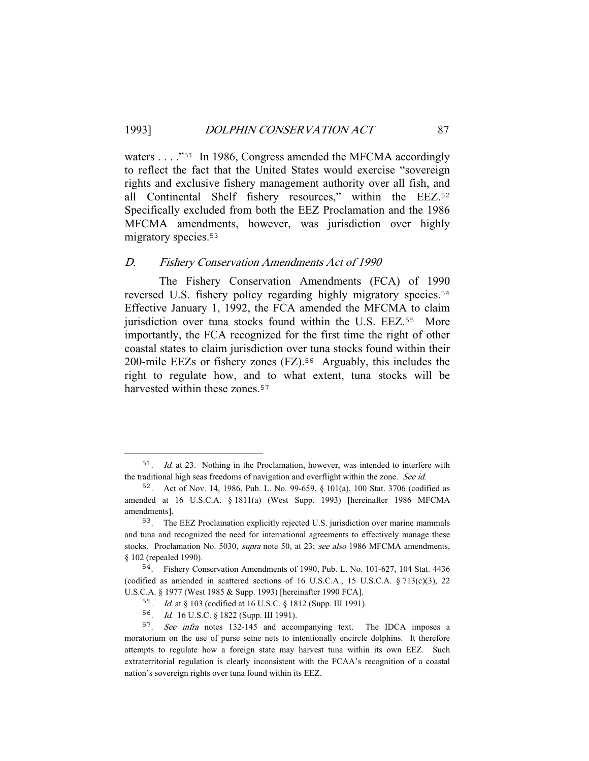waters . . . ."<sup>51</sup> In 1986, Congress amended the MFCMA accordingly to reflect the fact that the United States would exercise "sovereign rights and exclusive fishery management authority over all fish, and all Continental Shelf fishery resources," within the EEZ.<sup>52</sup> Specifically excluded from both the EEZ Proclamation and the 1986 MFCMA amendments, however, was jurisdiction over highly migratory species.<sup>53</sup>

#### D. Fishery Conservation Amendments Act of 1990

 The Fishery Conservation Amendments (FCA) of 1990 reversed U.S. fishery policy regarding highly migratory species.<sup>54</sup> Effective January 1, 1992, the FCA amended the MFCMA to claim jurisdiction over tuna stocks found within the U.S. EEZ.<sup>55</sup> More importantly, the FCA recognized for the first time the right of other coastal states to claim jurisdiction over tuna stocks found within their 200-mile EEZs or fishery zones (FZ).<sup>56</sup> Arguably, this includes the right to regulate how, and to what extent, tuna stocks will be harvested within these zones.<sup>57</sup>

<sup>51</sup>. Id. at 23. Nothing in the Proclamation, however, was intended to interfere with the traditional high seas freedoms of navigation and overflight within the zone. See id.

<sup>52</sup>. Act of Nov. 14, 1986, Pub. L. No. 99-659, § 101(a), 100 Stat. 3706 (codified as amended at 16 U.S.C.A. § 1811(a) (West Supp. 1993) [hereinafter 1986 MFCMA amendments].

<sup>53</sup>. The EEZ Proclamation explicitly rejected U.S. jurisdiction over marine mammals and tuna and recognized the need for international agreements to effectively manage these stocks. Proclamation No. 5030, *supra* note 50, at 23; see also 1986 MFCMA amendments, § 102 (repealed 1990).

<sup>54</sup>. Fishery Conservation Amendments of 1990, Pub. L. No. 101-627, 104 Stat. 4436 (codified as amended in scattered sections of 16 U.S.C.A., 15 U.S.C.A.  $\S 713(c)(3)$ , 22 U.S.C.A. § 1977 (West 1985 & Supp. 1993) [hereinafter 1990 FCA].

<sup>55</sup>. Id. at § 103 (codified at 16 U.S.C. § 1812 (Supp. III 1991).

<sup>56</sup>. Id. 16 U.S.C. § 1822 (Supp. III 1991).

<sup>&</sup>lt;sup>57</sup>. See infra notes 132-145 and accompanying text. The IDCA imposes a moratorium on the use of purse seine nets to intentionally encircle dolphins. It therefore attempts to regulate how a foreign state may harvest tuna within its own EEZ. Such extraterritorial regulation is clearly inconsistent with the FCAA's recognition of a coastal nation's sovereign rights over tuna found within its EEZ.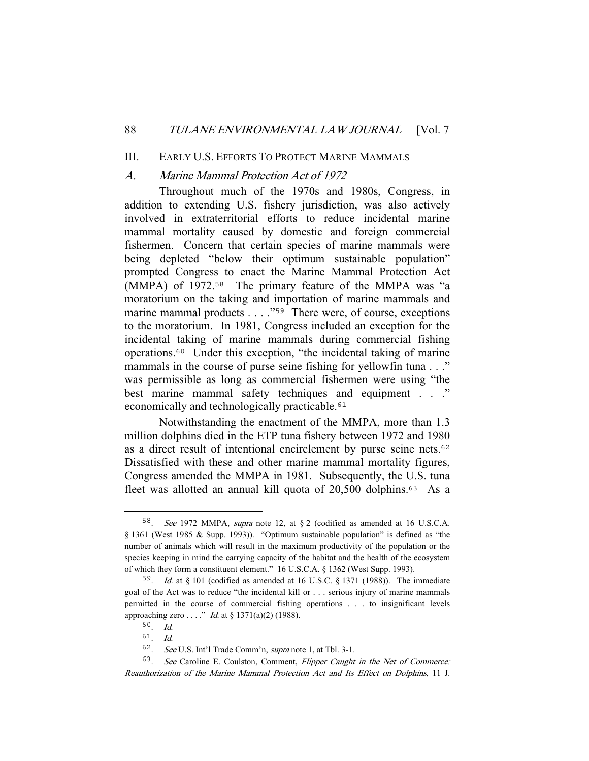#### 88 TULANE ENVIRONMENTAL LAW JOURNAL [Vol. 7

### III. EARLY U.S. EFFORTS TO PROTECT MARINE MAMMALS

#### A. Marine Mammal Protection Act of 1972

 Throughout much of the 1970s and 1980s, Congress, in addition to extending U.S. fishery jurisdiction, was also actively involved in extraterritorial efforts to reduce incidental marine mammal mortality caused by domestic and foreign commercial fishermen. Concern that certain species of marine mammals were being depleted "below their optimum sustainable population" prompted Congress to enact the Marine Mammal Protection Act (MMPA) of 1972.<sup>58</sup> The primary feature of the MMPA was "a moratorium on the taking and importation of marine mammals and marine mammal products . . . ."<sup>59</sup> There were, of course, exceptions to the moratorium. In 1981, Congress included an exception for the incidental taking of marine mammals during commercial fishing operations.<sup>60</sup> Under this exception, "the incidental taking of marine mammals in the course of purse seine fishing for yellowfin tuna . . ." was permissible as long as commercial fishermen were using "the best marine mammal safety techniques and equipment . . ." economically and technologically practicable.<sup>61</sup>

 Notwithstanding the enactment of the MMPA, more than 1.3 million dolphins died in the ETP tuna fishery between 1972 and 1980 as a direct result of intentional encirclement by purse seine nets.<sup>62</sup> Dissatisfied with these and other marine mammal mortality figures, Congress amended the MMPA in 1981. Subsequently, the U.S. tuna fleet was allotted an annual kill quota of 20,500 dolphins.<sup>63</sup> As a

<sup>58</sup>. See 1972 MMPA, supra note 12, at § 2 (codified as amended at 16 U.S.C.A. § 1361 (West 1985 & Supp. 1993)). "Optimum sustainable population" is defined as "the number of animals which will result in the maximum productivity of the population or the species keeping in mind the carrying capacity of the habitat and the health of the ecosystem of which they form a constituent element." 16 U.S.C.A. § 1362 (West Supp. 1993).

<sup>&</sup>lt;sup>59</sup>. *Id.* at § 101 (codified as amended at 16 U.S.C. § 1371 (1988)). The immediate goal of the Act was to reduce "the incidental kill or . . . serious injury of marine mammals permitted in the course of commercial fishing operations . . . to insignificant levels approaching zero . . . ." *Id.* at  $\S 1371(a)(2)$  (1988).

<sup>60</sup>. Id.

 $61$  Id.

<sup>62</sup>. See U.S. Int'l Trade Comm'n, supra note 1, at Tbl. 3-1.

<sup>63</sup>. See Caroline E. Coulston, Comment, Flipper Caught in the Net of Commerce: Reauthorization of the Marine Mammal Protection Act and Its Effect on Dolphins, 11 J.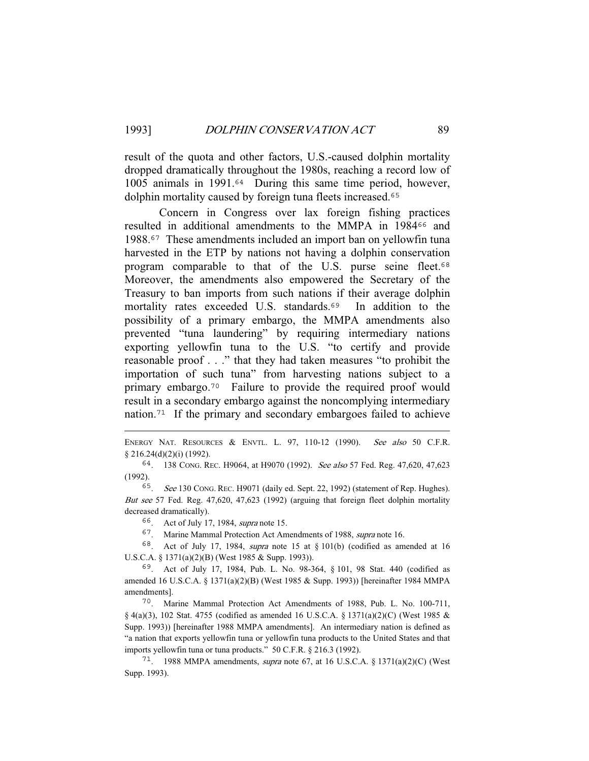result of the quota and other factors, U.S.-caused dolphin mortality dropped dramatically throughout the 1980s, reaching a record low of 1005 animals in 1991.<sup>64</sup> During this same time period, however, dolphin mortality caused by foreign tuna fleets increased.<sup>65</sup>

 Concern in Congress over lax foreign fishing practices resulted in additional amendments to the MMPA in 1984<sup>66</sup> and 1988.<sup>67</sup> These amendments included an import ban on yellowfin tuna harvested in the ETP by nations not having a dolphin conservation program comparable to that of the U.S. purse seine fleet.<sup>68</sup> Moreover, the amendments also empowered the Secretary of the Treasury to ban imports from such nations if their average dolphin mortality rates exceeded U.S. standards.<sup>69</sup> In addition to the possibility of a primary embargo, the MMPA amendments also prevented "tuna laundering" by requiring intermediary nations exporting yellowfin tuna to the U.S. "to certify and provide reasonable proof . . ." that they had taken measures "to prohibit the importation of such tuna" from harvesting nations subject to a primary embargo.<sup>70</sup> Failure to provide the required proof would result in a secondary embargo against the noncomplying intermediary nation.<sup>71</sup> If the primary and secondary embargoes failed to achieve

ENERGY NAT. RESOURCES & ENVTL. L. 97, 110-12 (1990). See also 50 C.F.R. § 216.24(d)(2)(i) (1992).

<sup>64</sup>. 138 CONG. REC. H9064, at H9070 (1992). See also 57 Fed. Reg. 47,620, 47,623 (1992).

<sup>65</sup>. See 130 CONG. REC. H9071 (daily ed. Sept. 22, 1992) (statement of Rep. Hughes). But see 57 Fed. Reg. 47,620, 47,623 (1992) (arguing that foreign fleet dolphin mortality decreased dramatically).

<sup>66</sup>. Act of July 17, 1984, supra note 15.

<sup>67</sup>. Marine Mammal Protection Act Amendments of 1988, supra note 16.

<sup>68</sup>. Act of July 17, 1984, supra note 15 at § 101(b) (codified as amended at 16 U.S.C.A. § 1371(a)(2)(B) (West 1985 & Supp. 1993)).

<sup>69</sup>. Act of July 17, 1984, Pub. L. No. 98-364, § 101, 98 Stat. 440 (codified as amended 16 U.S.C.A. § 1371(a)(2)(B) (West 1985 & Supp. 1993)) [hereinafter 1984 MMPA amendments].

<sup>70</sup>. Marine Mammal Protection Act Amendments of 1988, Pub. L. No. 100-711,  $\S$  4(a)(3), 102 Stat. 4755 (codified as amended 16 U.S.C.A.  $\S$  1371(a)(2)(C) (West 1985 & Supp. 1993)) [hereinafter 1988 MMPA amendments]. An intermediary nation is defined as "a nation that exports yellowfin tuna or yellowfin tuna products to the United States and that imports yellowfin tuna or tuna products." 50 C.F.R. § 216.3 (1992).

<sup>71</sup>. 1988 MMPA amendments, supra note 67, at 16 U.S.C.A. § 1371(a)(2)(C) (West Supp. 1993).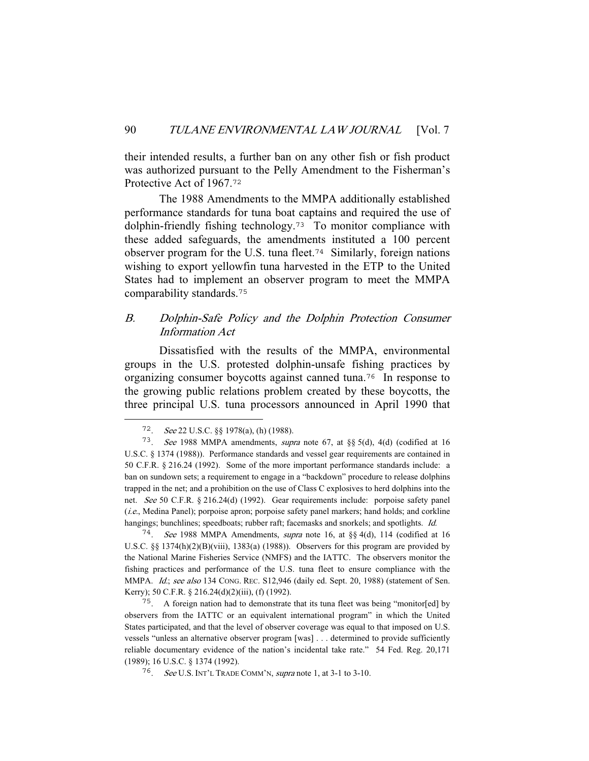their intended results, a further ban on any other fish or fish product was authorized pursuant to the Pelly Amendment to the Fisherman's Protective Act of 1967.<sup>72</sup>

 The 1988 Amendments to the MMPA additionally established performance standards for tuna boat captains and required the use of dolphin-friendly fishing technology.<sup>73</sup> To monitor compliance with these added safeguards, the amendments instituted a 100 percent observer program for the U.S. tuna fleet.<sup>74</sup> Similarly, foreign nations wishing to export yellowfin tuna harvested in the ETP to the United States had to implement an observer program to meet the MMPA comparability standards.<sup>75</sup>

## B. Dolphin-Safe Policy and the Dolphin Protection Consumer Information Act

 Dissatisfied with the results of the MMPA, environmental groups in the U.S. protested dolphin-unsafe fishing practices by organizing consumer boycotts against canned tuna.<sup>76</sup> In response to the growing public relations problem created by these boycotts, the three principal U.S. tuna processors announced in April 1990 that

<sup>74</sup>. See 1988 MMPA Amendments, supra note 16, at §§ 4(d), 114 (codified at 16 U.S.C. §§ 1374(h)(2)(B)(viii), 1383(a) (1988)). Observers for this program are provided by the National Marine Fisheries Service (NMFS) and the IATTC. The observers monitor the fishing practices and performance of the U.S. tuna fleet to ensure compliance with the MMPA. Id.; see also 134 CONG. REC. S12,946 (daily ed. Sept. 20, 1988) (statement of Sen. Kerry); 50 C.F.R. § 216.24(d)(2)(iii), (f) (1992).

<sup>75</sup>. A foreign nation had to demonstrate that its tuna fleet was being "monitor[ed] by observers from the IATTC or an equivalent international program" in which the United States participated, and that the level of observer coverage was equal to that imposed on U.S. vessels "unless an alternative observer program [was] . . . determined to provide sufficiently reliable documentary evidence of the nation's incidental take rate." 54 Fed. Reg. 20,171 (1989); 16 U.S.C. § 1374 (1992).

<sup>72</sup>. See 22 U.S.C. §§ 1978(a), (h) (1988).

<sup>73</sup>. See 1988 MMPA amendments, supra note 67, at §§ 5(d), 4(d) (codified at 16 U.S.C. § 1374 (1988)). Performance standards and vessel gear requirements are contained in 50 C.F.R. § 216.24 (1992). Some of the more important performance standards include: a ban on sundown sets; a requirement to engage in a "backdown" procedure to release dolphins trapped in the net; and a prohibition on the use of Class C explosives to herd dolphins into the net. See 50 C.F.R. § 216.24(d) (1992). Gear requirements include: porpoise safety panel (i.e., Medina Panel); porpoise apron; porpoise safety panel markers; hand holds; and corkline hangings; bunchlines; speedboats; rubber raft; facemasks and snorkels; and spotlights. Id.

<sup>76</sup>. See U.S. INT'L TRADE COMM'N, supra note 1, at 3-1 to 3-10.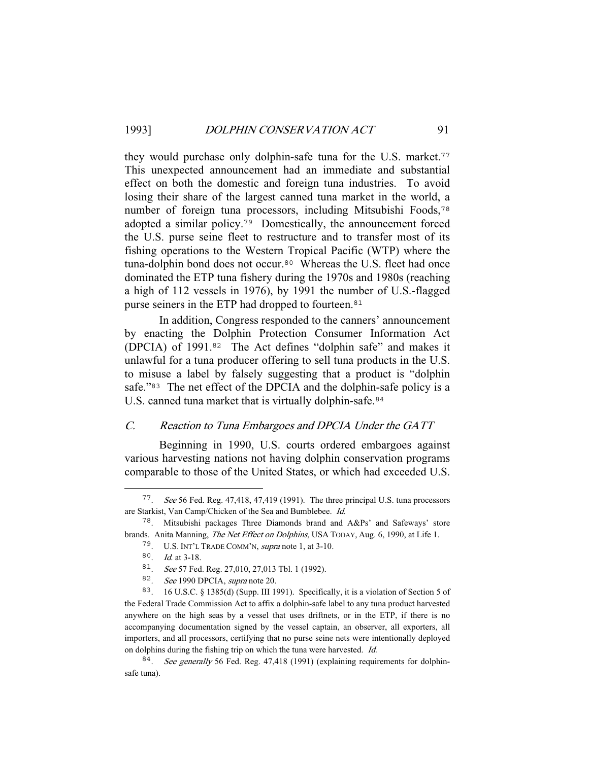they would purchase only dolphin-safe tuna for the U.S. market.<sup>77</sup> This unexpected announcement had an immediate and substantial effect on both the domestic and foreign tuna industries. To avoid losing their share of the largest canned tuna market in the world, a number of foreign tuna processors, including Mitsubishi Foods,<sup>78</sup> adopted a similar policy.<sup>79</sup> Domestically, the announcement forced the U.S. purse seine fleet to restructure and to transfer most of its fishing operations to the Western Tropical Pacific (WTP) where the tuna-dolphin bond does not occur.<sup>80</sup> Whereas the U.S. fleet had once dominated the ETP tuna fishery during the 1970s and 1980s (reaching a high of 112 vessels in 1976), by 1991 the number of U.S.-flagged purse seiners in the ETP had dropped to fourteen.<sup>81</sup>

 In addition, Congress responded to the canners' announcement by enacting the Dolphin Protection Consumer Information Act (DPCIA) of 1991.<sup>82</sup> The Act defines "dolphin safe" and makes it unlawful for a tuna producer offering to sell tuna products in the U.S. to misuse a label by falsely suggesting that a product is "dolphin safe."<sup>83</sup> The net effect of the DPCIA and the dolphin-safe policy is a U.S. canned tuna market that is virtually dolphin-safe.<sup>84</sup>

## C. Reaction to Tuna Embargoes and DPCIA Under the GATT

 Beginning in 1990, U.S. courts ordered embargoes against various harvesting nations not having dolphin conservation programs comparable to those of the United States, or which had exceeded U.S.

<sup>77</sup>. See 56 Fed. Reg. 47,418, 47,419 (1991). The three principal U.S. tuna processors are Starkist, Van Camp/Chicken of the Sea and Bumblebee. Id.

<sup>78</sup>. Mitsubishi packages Three Diamonds brand and A&Ps' and Safeways' store brands. Anita Manning, The Net Effect on Dolphins, USA TODAY, Aug. 6, 1990, at Life 1.

<sup>79</sup>. U.S. INT'L TRADE COMM'N, supra note 1, at 3-10.

<sup>80</sup>. Id. at 3-18.

<sup>81</sup>. See 57 Fed. Reg. 27,010, 27,013 Tbl. 1 (1992).

<sup>82</sup>. See 1990 DPCIA, supra note 20.

<sup>83</sup>. 16 U.S.C. § 1385(d) (Supp. III 1991). Specifically, it is a violation of Section 5 of the Federal Trade Commission Act to affix a dolphin-safe label to any tuna product harvested anywhere on the high seas by a vessel that uses driftnets, or in the ETP, if there is no accompanying documentation signed by the vessel captain, an observer, all exporters, all importers, and all processors, certifying that no purse seine nets were intentionally deployed on dolphins during the fishing trip on which the tuna were harvested. Id.

<sup>&</sup>lt;sup>84</sup>. See generally 56 Fed. Reg. 47,418 (1991) (explaining requirements for dolphinsafe tuna).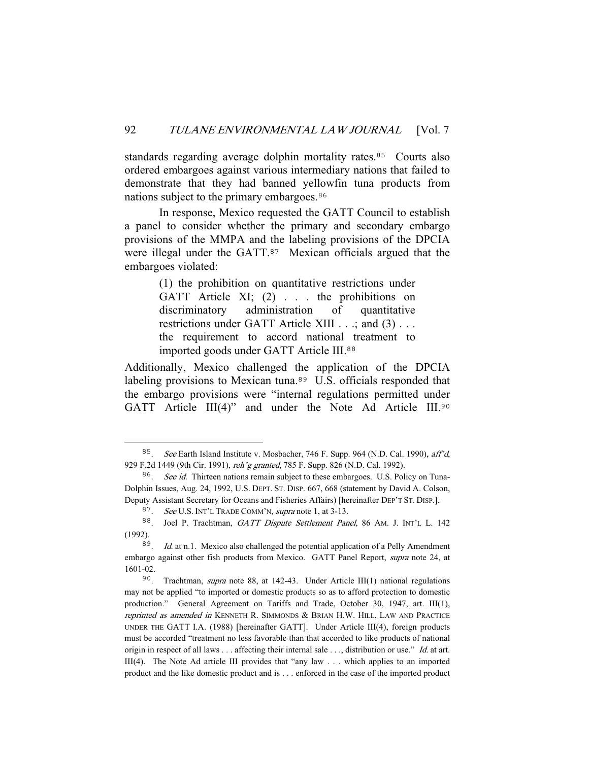standards regarding average dolphin mortality rates.<sup>85</sup> Courts also ordered embargoes against various intermediary nations that failed to demonstrate that they had banned yellowfin tuna products from nations subject to the primary embargoes.<sup>86</sup>

 In response, Mexico requested the GATT Council to establish a panel to consider whether the primary and secondary embargo provisions of the MMPA and the labeling provisions of the DPCIA were illegal under the GATT.<sup>87</sup> Mexican officials argued that the embargoes violated:

> (1) the prohibition on quantitative restrictions under GATT Article XI; (2) . . . the prohibitions on discriminatory administration of quantitative restrictions under GATT Article XIII . . .; and (3) . . . the requirement to accord national treatment to imported goods under GATT Article III.<sup>88</sup>

Additionally, Mexico challenged the application of the DPCIA labeling provisions to Mexican tuna.<sup>89</sup> U.S. officials responded that the embargo provisions were "internal regulations permitted under GATT Article III(4)" and under the Note Ad Article III.<sup>90</sup>

<sup>85</sup>. See Earth Island Institute v. Mosbacher, 746 F. Supp. 964 (N.D. Cal. 1990), aff'd, 929 F.2d 1449 (9th Cir. 1991), reh'g granted, 785 F. Supp. 826 (N.D. Cal. 1992).

<sup>&</sup>lt;sup>86</sup>. See id. Thirteen nations remain subject to these embargoes. U.S. Policy on Tuna-Dolphin Issues, Aug. 24, 1992, U.S. DEPT. ST. DISP. 667, 668 (statement by David A. Colson, Deputy Assistant Secretary for Oceans and Fisheries Affairs) [hereinafter DEP'T ST. DISP.].

<sup>87</sup>. See U.S. INT'L TRADE COMM'N, supra note 1, at 3-13.

<sup>88.</sup> Joel P. Trachtman, GATT Dispute Settlement Panel, 86 AM. J. INT'L L. 142 (1992).

 $89.$  Id. at n.1. Mexico also challenged the potential application of a Pelly Amendment embargo against other fish products from Mexico. GATT Panel Report, supra note 24, at 1601-02.

<sup>90</sup>. Trachtman, supra note 88, at 142-43. Under Article III(1) national regulations may not be applied "to imported or domestic products so as to afford protection to domestic production." General Agreement on Tariffs and Trade, October 30, 1947, art. III(1), reprinted as amended in KENNETH R. SIMMONDS & BRIAN H.W. HILL, LAW AND PRACTICE UNDER THE GATT I.A. (1988) [hereinafter GATT]. Under Article III(4), foreign products must be accorded "treatment no less favorable than that accorded to like products of national origin in respect of all laws . . . affecting their internal sale . . ., distribution or use." Id. at art. III(4). The Note Ad article III provides that "any law . . . which applies to an imported product and the like domestic product and is . . . enforced in the case of the imported product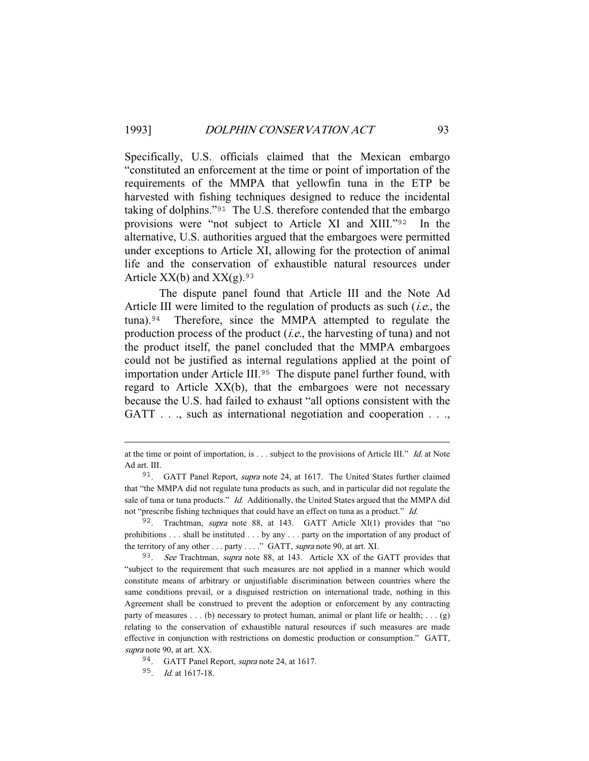Specifically, U.S. officials claimed that the Mexican embargo "constituted an enforcement at the time or point of importation of the requirements of the MMPA that yellowfin tuna in the ETP be harvested with fishing techniques designed to reduce the incidental taking of dolphins."<sup>91</sup> The U.S. therefore contended that the embargo provisions were "not subject to Article XI and XIII."<sup>92</sup> In the alternative, U.S. authorities argued that the embargoes were permitted under exceptions to Article XI, allowing for the protection of animal life and the conservation of exhaustible natural resources under Article  $XX(b)$  and  $XX(g)$ . 93

 The dispute panel found that Article III and the Note Ad Article III were limited to the regulation of products as such  $(i.e.,$  the tuna).<sup>94</sup> Therefore, since the MMPA attempted to regulate the production process of the product  $(i.e.,$  the harvesting of tuna) and not the product itself, the panel concluded that the MMPA embargoes could not be justified as internal regulations applied at the point of importation under Article III.<sup>95</sup> The dispute panel further found, with regard to Article XX(b), that the embargoes were not necessary because the U.S. had failed to exhaust "all options consistent with the GATT . . ., such as international negotiation and cooperation . . .,

at the time or point of importation, is . . . subject to the provisions of Article III." Id. at Note Ad art. III.

<sup>&</sup>lt;sup>91</sup>. GATT Panel Report, *supra* note 24, at 1617. The United States further claimed that "the MMPA did not regulate tuna products as such, and in particular did not regulate the sale of tuna or tuna products." *Id.* Additionally, the United States argued that the MMPA did not "prescribe fishing techniques that could have an effect on tuna as a product." Id.

<sup>&</sup>lt;sup>92</sup>. Trachtman, *supra* note 88, at 143. GATT Article XI(1) provides that "no prohibitions . . . shall be instituted . . . by any . . . party on the importation of any product of the territory of any other . . . party . . . ." GATT, *supra* note 90, at art. XI.

<sup>&</sup>lt;sup>93</sup>. See Trachtman, supra note 88, at 143. Article XX of the GATT provides that "subject to the requirement that such measures are not applied in a manner which would constitute means of arbitrary or unjustifiable discrimination between countries where the same conditions prevail, or a disguised restriction on international trade, nothing in this Agreement shall be construed to prevent the adoption or enforcement by any contracting party of measures . . . (b) necessary to protect human, animal or plant life or health; . . . (g) relating to the conservation of exhaustible natural resources if such measures are made effective in conjunction with restrictions on domestic production or consumption." GATT, supra note 90, at art. XX.

<sup>94</sup>. GATT Panel Report, supra note 24, at 1617.

<sup>95</sup>. Id. at 1617-18.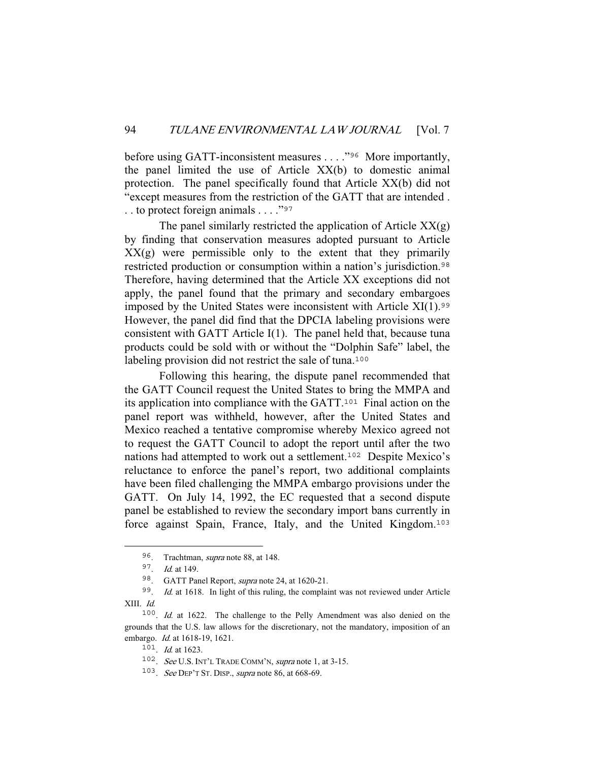before using GATT-inconsistent measures . . . . "<sup>96</sup> More importantly, the panel limited the use of Article XX(b) to domestic animal protection. The panel specifically found that Article XX(b) did not "except measures from the restriction of the GATT that are intended . . . to protect foreign animals . . . ."<sup>97</sup>

The panel similarly restricted the application of Article  $XX(g)$ by finding that conservation measures adopted pursuant to Article XX(g) were permissible only to the extent that they primarily restricted production or consumption within a nation's jurisdiction.<sup>98</sup> Therefore, having determined that the Article XX exceptions did not apply, the panel found that the primary and secondary embargoes imposed by the United States were inconsistent with Article  $XI(1)$ .<sup>99</sup> However, the panel did find that the DPCIA labeling provisions were consistent with GATT Article I(1). The panel held that, because tuna products could be sold with or without the "Dolphin Safe" label, the labeling provision did not restrict the sale of tuna.<sup>100</sup>

 Following this hearing, the dispute panel recommended that the GATT Council request the United States to bring the MMPA and its application into compliance with the GATT.<sup>101</sup> Final action on the panel report was withheld, however, after the United States and Mexico reached a tentative compromise whereby Mexico agreed not to request the GATT Council to adopt the report until after the two nations had attempted to work out a settlement.<sup>102</sup> Despite Mexico's reluctance to enforce the panel's report, two additional complaints have been filed challenging the MMPA embargo provisions under the GATT. On July 14, 1992, the EC requested that a second dispute panel be established to review the secondary import bans currently in force against Spain, France, Italy, and the United Kingdom.<sup>103</sup>

<sup>101</sup>. Id. at 1623.

<sup>96</sup>. Trachtman, supra note 88, at 148.

<sup>97</sup>. Id. at 149.

<sup>98</sup>. GATT Panel Report, supra note 24, at 1620-21.

<sup>99</sup>. Id. at 1618. In light of this ruling, the complaint was not reviewed under Article XIII. Id.

<sup>100</sup>. Id. at 1622. The challenge to the Pelly Amendment was also denied on the grounds that the U.S. law allows for the discretionary, not the mandatory, imposition of an embargo. *Id.* at 1618-19, 1621.

<sup>102</sup>. See U.S. INT'L TRADE COMM'N, supra note 1, at 3-15.

 $103$ . See DEP'T ST. DISP., supra note 86, at 668-69.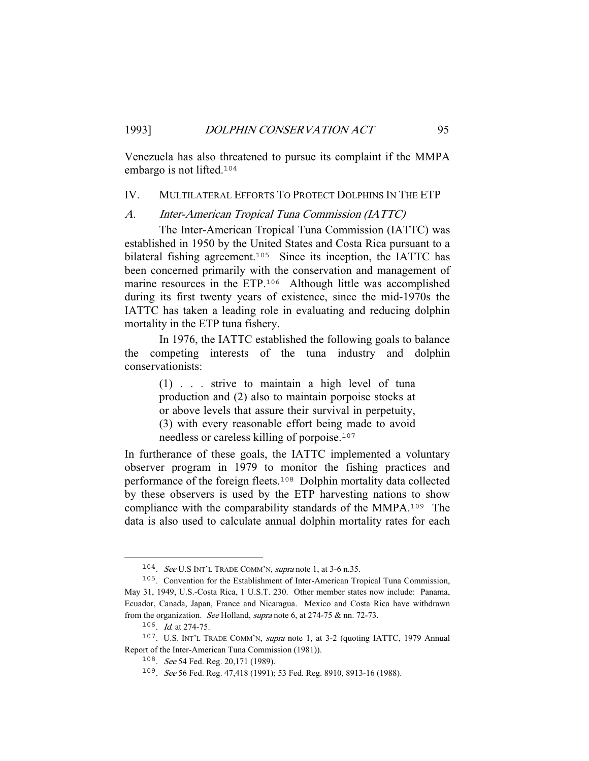Venezuela has also threatened to pursue its complaint if the MMPA embargo is not lifted.<sup>104</sup>

#### IV. MULTILATERAL EFFORTS TO PROTECT DOLPHINS IN THE ETP

## A. Inter-American Tropical Tuna Commission (IATTC)

 The Inter-American Tropical Tuna Commission (IATTC) was established in 1950 by the United States and Costa Rica pursuant to a bilateral fishing agreement.<sup>105</sup> Since its inception, the IATTC has been concerned primarily with the conservation and management of marine resources in the ETP.<sup>106</sup> Although little was accomplished during its first twenty years of existence, since the mid-1970s the IATTC has taken a leading role in evaluating and reducing dolphin mortality in the ETP tuna fishery.

 In 1976, the IATTC established the following goals to balance the competing interests of the tuna industry and dolphin conservationists:

> (1) . . . strive to maintain a high level of tuna production and (2) also to maintain porpoise stocks at or above levels that assure their survival in perpetuity, (3) with every reasonable effort being made to avoid needless or careless killing of porpoise.<sup>107</sup>

In furtherance of these goals, the IATTC implemented a voluntary observer program in 1979 to monitor the fishing practices and performance of the foreign fleets.<sup>108</sup> Dolphin mortality data collected by these observers is used by the ETP harvesting nations to show compliance with the comparability standards of the MMPA.<sup>109</sup> The data is also used to calculate annual dolphin mortality rates for each

<sup>104</sup>. See U.S INT'L TRADE COMM'N, supra note 1, at 3-6 n.35.

<sup>105</sup>. Convention for the Establishment of Inter-American Tropical Tuna Commission, May 31, 1949, U.S.-Costa Rica, 1 U.S.T. 230. Other member states now include: Panama, Ecuador, Canada, Japan, France and Nicaragua. Mexico and Costa Rica have withdrawn from the organization. See Holland, supra note 6, at 274-75 & nn. 72-73.

<sup>106</sup>. Id. at 274-75.

<sup>107</sup>. U.S. INT'L TRADE COMM'N, supra note 1, at 3-2 (quoting IATTC, 1979 Annual Report of the Inter-American Tuna Commission (1981)).

<sup>&</sup>lt;sup>108</sup>. See 54 Fed. Reg. 20,171 (1989).

<sup>109</sup>. See 56 Fed. Reg. 47,418 (1991); 53 Fed. Reg. 8910, 8913-16 (1988).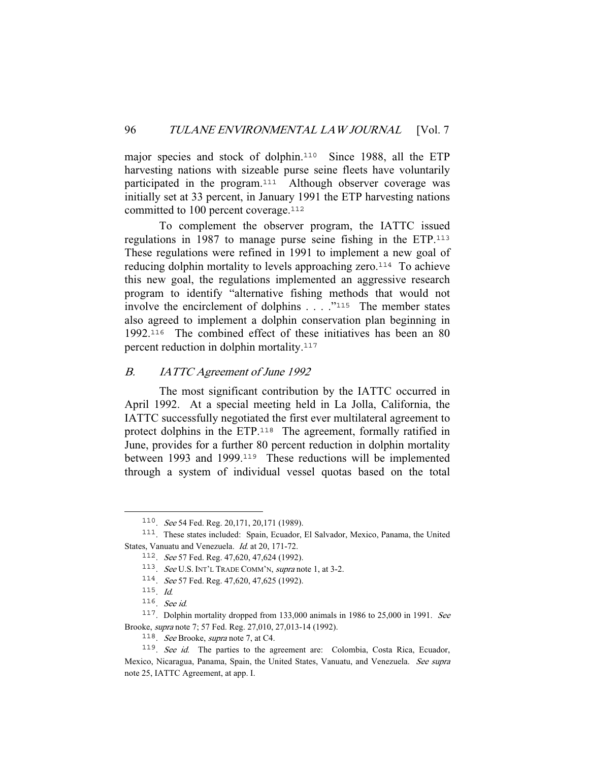major species and stock of dolphin.<sup>110</sup> Since 1988, all the ETP harvesting nations with sizeable purse seine fleets have voluntarily participated in the program.<sup>111</sup> Although observer coverage was initially set at 33 percent, in January 1991 the ETP harvesting nations committed to 100 percent coverage.<sup>112</sup>

 To complement the observer program, the IATTC issued regulations in 1987 to manage purse seine fishing in the ETP.<sup>113</sup> These regulations were refined in 1991 to implement a new goal of reducing dolphin mortality to levels approaching zero.<sup>114</sup> To achieve this new goal, the regulations implemented an aggressive research program to identify "alternative fishing methods that would not involve the encirclement of dolphins . . . ."<sup>115</sup> The member states also agreed to implement a dolphin conservation plan beginning in 1992.<sup>116</sup> The combined effect of these initiatives has been an 80 percent reduction in dolphin mortality.<sup>117</sup>

## B. IATTC Agreement of June 1992

 The most significant contribution by the IATTC occurred in April 1992. At a special meeting held in La Jolla, California, the IATTC successfully negotiated the first ever multilateral agreement to protect dolphins in the ETP.<sup>118</sup> The agreement, formally ratified in June, provides for a further 80 percent reduction in dolphin mortality between 1993 and 1999.<sup>119</sup> These reductions will be implemented through a system of individual vessel quotas based on the total

<sup>110</sup>. See 54 Fed. Reg. 20,171, 20,171 (1989).

<sup>111</sup>. These states included: Spain, Ecuador, El Salvador, Mexico, Panama, the United States, Vanuatu and Venezuela. Id. at 20, 171-72.

<sup>112</sup>. See 57 Fed. Reg. 47,620, 47,624 (1992).

<sup>113.</sup> See U.S. INT'L TRADE COMM'N, supra note 1, at 3-2.

<sup>114</sup>. See 57 Fed. Reg. 47,620, 47,625 (1992).

<sup>115</sup>. Id.

<sup>116</sup>. See id.

<sup>117</sup>. Dolphin mortality dropped from 133,000 animals in 1986 to 25,000 in 1991. See Brooke, supra note 7; 57 Fed. Reg. 27,010, 27,013-14 (1992).

<sup>118</sup>. See Brooke, supra note 7, at C4.

<sup>119</sup>. See id. The parties to the agreement are: Colombia, Costa Rica, Ecuador, Mexico, Nicaragua, Panama, Spain, the United States, Vanuatu, and Venezuela. See supra note 25, IATTC Agreement, at app. I.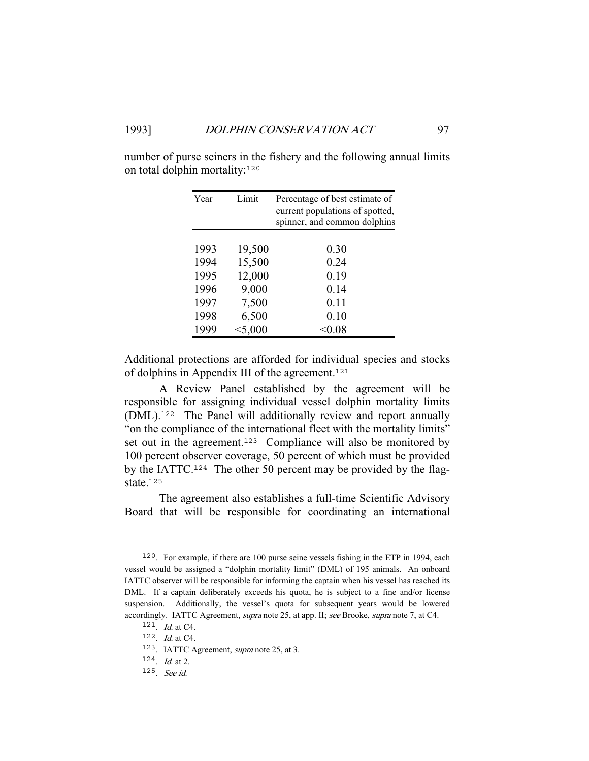| Year | Limit            | Percentage of best estimate of<br>current populations of spotted,<br>spinner, and common dolphins |
|------|------------------|---------------------------------------------------------------------------------------------------|
| 1993 |                  | 0.30                                                                                              |
| 1994 | 19,500<br>15,500 | 0.24                                                                                              |
| 1995 | 12,000           | 0.19                                                                                              |
| 1996 | 9,000            | 0.14                                                                                              |
| 1997 | 7,500            | 0.11                                                                                              |
| 1998 | 6,500            | 0.10                                                                                              |
| 1999 | < 5,000          | < 0.08                                                                                            |

number of purse seiners in the fishery and the following annual limits on total dolphin mortality:<sup>120</sup>

Additional protections are afforded for individual species and stocks of dolphins in Appendix III of the agreement.<sup>121</sup>

 A Review Panel established by the agreement will be responsible for assigning individual vessel dolphin mortality limits (DML).<sup>122</sup> The Panel will additionally review and report annually "on the compliance of the international fleet with the mortality limits" set out in the agreement.<sup>123</sup> Compliance will also be monitored by 100 percent observer coverage, 50 percent of which must be provided by the IATTC.124 The other 50 percent may be provided by the flagstate.<sup>125</sup>

 The agreement also establishes a full-time Scientific Advisory Board that will be responsible for coordinating an international

<sup>120</sup>. For example, if there are 100 purse seine vessels fishing in the ETP in 1994, each vessel would be assigned a "dolphin mortality limit" (DML) of 195 animals. An onboard IATTC observer will be responsible for informing the captain when his vessel has reached its DML. If a captain deliberately exceeds his quota, he is subject to a fine and/or license suspension. Additionally, the vessel's quota for subsequent years would be lowered accordingly. IATTC Agreement, supra note 25, at app. II; see Brooke, supra note 7, at C4.

 $121$ . *Id.* at C4.

<sup>122</sup>. Id. at C4.

<sup>123</sup>. IATTC Agreement, supra note 25, at 3.

 $124$ . *Id.* at 2.

<sup>125</sup>. See id.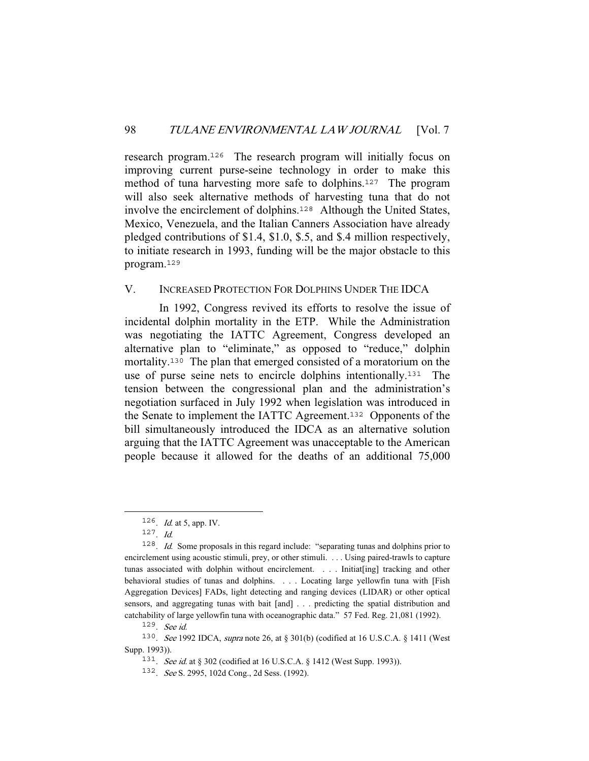research program.<sup>126</sup> The research program will initially focus on improving current purse-seine technology in order to make this method of tuna harvesting more safe to dolphins.<sup>127</sup> The program will also seek alternative methods of harvesting tuna that do not involve the encirclement of dolphins.<sup>128</sup> Although the United States, Mexico, Venezuela, and the Italian Canners Association have already pledged contributions of \$1.4, \$1.0, \$.5, and \$.4 million respectively, to initiate research in 1993, funding will be the major obstacle to this program.<sup>129</sup>

## V. INCREASED PROTECTION FOR DOLPHINS UNDER THE IDCA

 In 1992, Congress revived its efforts to resolve the issue of incidental dolphin mortality in the ETP. While the Administration was negotiating the IATTC Agreement, Congress developed an alternative plan to "eliminate," as opposed to "reduce," dolphin mortality.<sup>130</sup> The plan that emerged consisted of a moratorium on the use of purse seine nets to encircle dolphins intentionally.<sup>131</sup> The tension between the congressional plan and the administration's negotiation surfaced in July 1992 when legislation was introduced in the Senate to implement the IATTC Agreement.<sup>132</sup> Opponents of the bill simultaneously introduced the IDCA as an alternative solution arguing that the IATTC Agreement was unacceptable to the American people because it allowed for the deaths of an additional 75,000

<sup>126</sup>. Id. at 5, app. IV.

 $127.$  *Id.* 

<sup>128</sup>. Id. Some proposals in this regard include: "separating tunas and dolphins prior to encirclement using acoustic stimuli, prey, or other stimuli. . . . Using paired-trawls to capture tunas associated with dolphin without encirclement. . . . Initiat[ing] tracking and other behavioral studies of tunas and dolphins. . . . Locating large yellowfin tuna with [Fish Aggregation Devices] FADs, light detecting and ranging devices (LIDAR) or other optical sensors, and aggregating tunas with bait [and] . . . predicting the spatial distribution and catchability of large yellowfin tuna with oceanographic data." 57 Fed. Reg. 21,081 (1992).

<sup>129</sup>. See id.

<sup>130</sup>. See 1992 IDCA, supra note 26, at § 301(b) (codified at 16 U.S.C.A. § 1411 (West Supp. 1993)).

<sup>131.</sup> See id. at § 302 (codified at 16 U.S.C.A. § 1412 (West Supp. 1993)).

<sup>132</sup>. See S. 2995, 102d Cong., 2d Sess. (1992).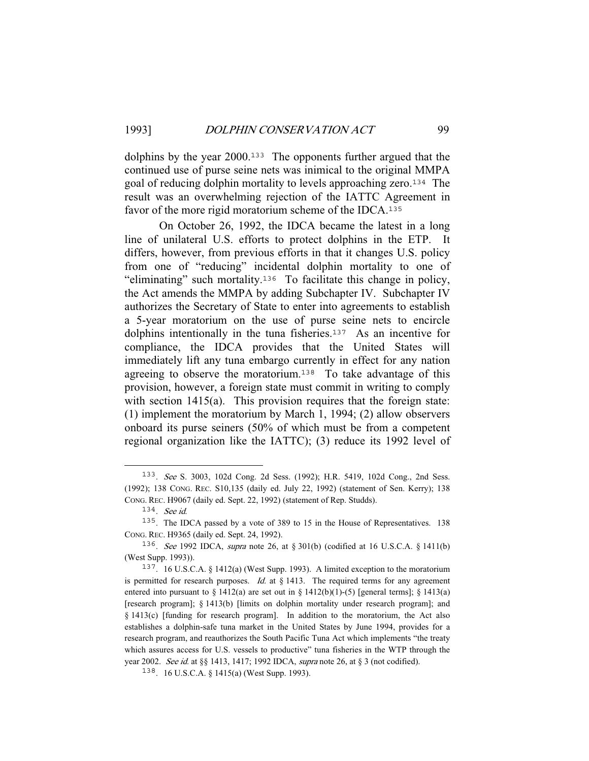dolphins by the year 2000.<sup>133</sup> The opponents further argued that the continued use of purse seine nets was inimical to the original MMPA goal of reducing dolphin mortality to levels approaching zero.<sup>134</sup> The result was an overwhelming rejection of the IATTC Agreement in favor of the more rigid moratorium scheme of the IDCA.<sup>135</sup>

 On October 26, 1992, the IDCA became the latest in a long line of unilateral U.S. efforts to protect dolphins in the ETP. It differs, however, from previous efforts in that it changes U.S. policy from one of "reducing" incidental dolphin mortality to one of "eliminating" such mortality.<sup>136</sup> To facilitate this change in policy, the Act amends the MMPA by adding Subchapter IV. Subchapter IV authorizes the Secretary of State to enter into agreements to establish a 5-year moratorium on the use of purse seine nets to encircle dolphins intentionally in the tuna fisheries.<sup>137</sup> As an incentive for compliance, the IDCA provides that the United States will immediately lift any tuna embargo currently in effect for any nation agreeing to observe the moratorium.<sup>138</sup> To take advantage of this provision, however, a foreign state must commit in writing to comply with section 1415(a). This provision requires that the foreign state: (1) implement the moratorium by March 1, 1994; (2) allow observers onboard its purse seiners (50% of which must be from a competent regional organization like the IATTC); (3) reduce its 1992 level of

<sup>133</sup>. See S. 3003, 102d Cong. 2d Sess. (1992); H.R. 5419, 102d Cong., 2nd Sess. (1992); 138 CONG. REC. S10,135 (daily ed. July 22, 1992) (statement of Sen. Kerry); 138 CONG. REC. H9067 (daily ed. Sept. 22, 1992) (statement of Rep. Studds).

<sup>134</sup>. See id.

<sup>135</sup>. The IDCA passed by a vote of 389 to 15 in the House of Representatives. 138 CONG. REC. H9365 (daily ed. Sept. 24, 1992).

<sup>136</sup>. See 1992 IDCA, supra note 26, at § 301(b) (codified at 16 U.S.C.A. § 1411(b) (West Supp. 1993)).

<sup>137</sup>. 16 U.S.C.A. § 1412(a) (West Supp. 1993). A limited exception to the moratorium is permitted for research purposes. Id. at  $\S$  1413. The required terms for any agreement entered into pursuant to  $\S 1412(a)$  are set out in  $\S 1412(b)(1)-(5)$  [general terms];  $\S 1413(a)$ [research program]; § 1413(b) [limits on dolphin mortality under research program]; and § 1413(c) [funding for research program]. In addition to the moratorium, the Act also establishes a dolphin-safe tuna market in the United States by June 1994, provides for a research program, and reauthorizes the South Pacific Tuna Act which implements "the treaty which assures access for U.S. vessels to productive" tuna fisheries in the WTP through the year 2002. See id. at §§ 1413, 1417; 1992 IDCA, supra note 26, at § 3 (not codified).

<sup>138</sup>. 16 U.S.C.A. § 1415(a) (West Supp. 1993).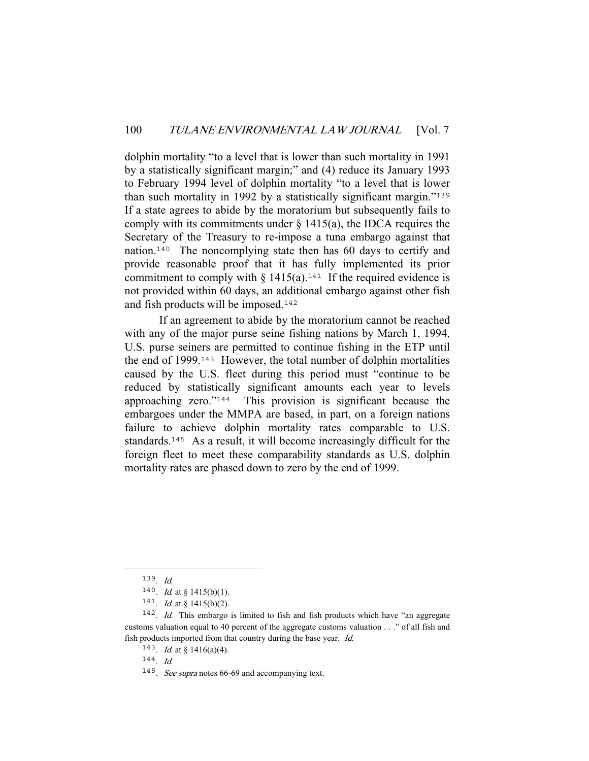dolphin mortality "to a level that is lower than such mortality in 1991 by a statistically significant margin;" and (4) reduce its January 1993 to February 1994 level of dolphin mortality "to a level that is lower than such mortality in 1992 by a statistically significant margin."<sup>139</sup> If a state agrees to abide by the moratorium but subsequently fails to comply with its commitments under  $\S$  1415(a), the IDCA requires the Secretary of the Treasury to re-impose a tuna embargo against that nation.<sup>140</sup> The noncomplying state then has 60 days to certify and provide reasonable proof that it has fully implemented its prior commitment to comply with § 1415(a).<sup>141</sup> If the required evidence is not provided within 60 days, an additional embargo against other fish and fish products will be imposed.<sup>142</sup>

 If an agreement to abide by the moratorium cannot be reached with any of the major purse seine fishing nations by March 1, 1994, U.S. purse seiners are permitted to continue fishing in the ETP until the end of 1999.<sup>143</sup> However, the total number of dolphin mortalities caused by the U.S. fleet during this period must "continue to be reduced by statistically significant amounts each year to levels approaching zero."<sup>144</sup> This provision is significant because the embargoes under the MMPA are based, in part, on a foreign nations failure to achieve dolphin mortality rates comparable to U.S. standards.<sup>145</sup> As a result, it will become increasingly difficult for the foreign fleet to meet these comparability standards as U.S. dolphin mortality rates are phased down to zero by the end of 1999.

 $139.$  Id.

<sup>140.</sup> *Id.* at § 1415(b)(1).

<sup>141.</sup> *Id.* at § 1415(b)(2).

<sup>142</sup>. Id. This embargo is limited to fish and fish products which have "an aggregate customs valuation equal to 40 percent of the aggregate customs valuation . . ." of all fish and fish products imported from that country during the base year. Id.

<sup>&</sup>lt;sup>143</sup>. *Id.* at § 1416(a)(4).

<sup>144</sup>. Id.

<sup>&</sup>lt;sup>145</sup>. See supra notes 66-69 and accompanying text.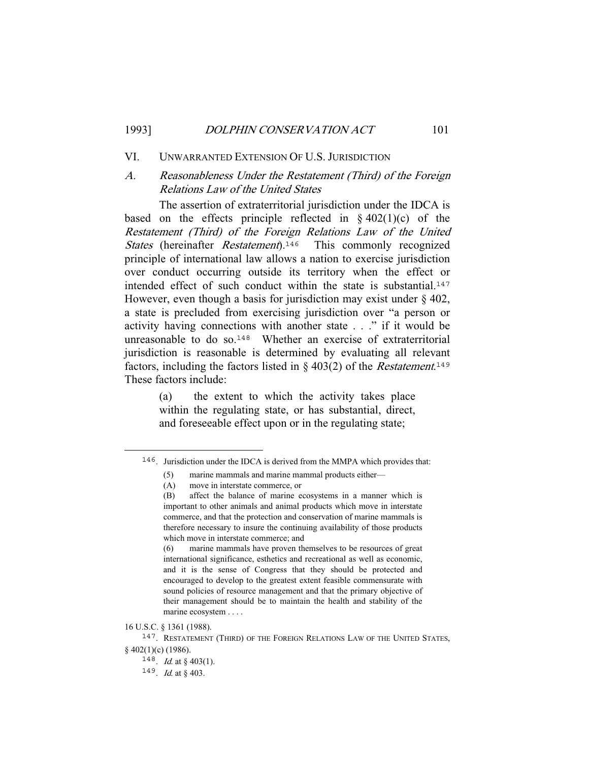### VI. UNWARRANTED EXTENSION OF U.S. JURISDICTION

## A. Reasonableness Under the Restatement (Third) of the Foreign Relations Law of the United States

 The assertion of extraterritorial jurisdiction under the IDCA is based on the effects principle reflected in  $\S 402(1)(c)$  of the Restatement (Third) of the Foreign Relations Law of the United States (hereinafter *Restatement*).<sup>146</sup> This commonly recognized principle of international law allows a nation to exercise jurisdiction over conduct occurring outside its territory when the effect or intended effect of such conduct within the state is substantial.<sup>147</sup> However, even though a basis for jurisdiction may exist under  $\S$  402, a state is precluded from exercising jurisdiction over "a person or activity having connections with another state . . ." if it would be unreasonable to do so.<sup>148</sup> Whether an exercise of extraterritorial jurisdiction is reasonable is determined by evaluating all relevant factors, including the factors listed in  $\S$  403(2) of the *Restatement*.<sup>149</sup> These factors include:

> (a) the extent to which the activity takes place within the regulating state, or has substantial, direct, and foreseeable effect upon or in the regulating state;

16 U.S.C. § 1361 (1988).

<sup>146</sup>. Jurisdiction under the IDCA is derived from the MMPA which provides that:

<sup>(5)</sup> marine mammals and marine mammal products either—

<sup>(</sup>A) move in interstate commerce, or

<sup>(</sup>B) affect the balance of marine ecosystems in a manner which is important to other animals and animal products which move in interstate commerce, and that the protection and conservation of marine mammals is therefore necessary to insure the continuing availability of those products which move in interstate commerce; and

<sup>(6)</sup> marine mammals have proven themselves to be resources of great international significance, esthetics and recreational as well as economic, and it is the sense of Congress that they should be protected and encouraged to develop to the greatest extent feasible commensurate with sound policies of resource management and that the primary objective of their management should be to maintain the health and stability of the marine ecosystem . . . .

<sup>&</sup>lt;sup>147</sup>. RESTATEMENT (THIRD) OF THE FOREIGN RELATIONS LAW OF THE UNITED STATES, § 402(1)(c) (1986).

<sup>&</sup>lt;sup>148</sup>. *Id.* at § 403(1).

 $149$ . *Id.* at § 403.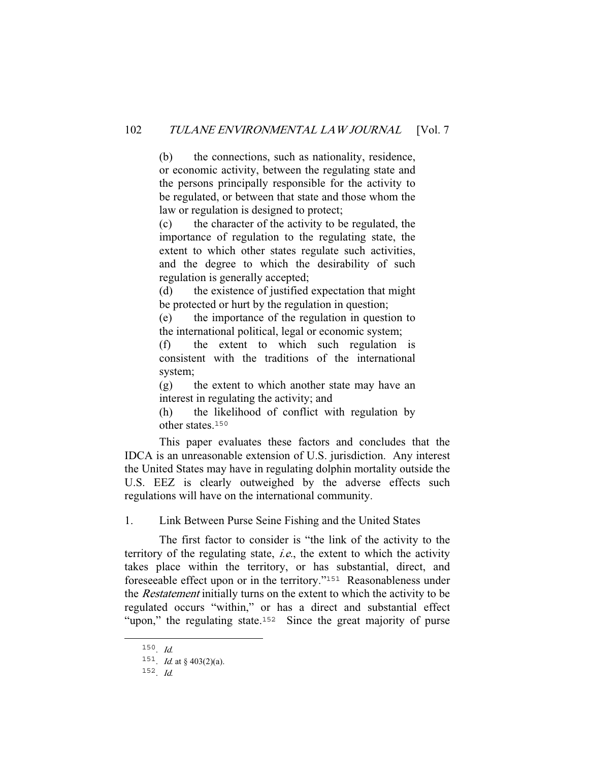(b) the connections, such as nationality, residence, or economic activity, between the regulating state and the persons principally responsible for the activity to be regulated, or between that state and those whom the law or regulation is designed to protect;

(c) the character of the activity to be regulated, the importance of regulation to the regulating state, the extent to which other states regulate such activities, and the degree to which the desirability of such regulation is generally accepted;

(d) the existence of justified expectation that might be protected or hurt by the regulation in question;

(e) the importance of the regulation in question to the international political, legal or economic system;

(f) the extent to which such regulation is consistent with the traditions of the international system;

(g) the extent to which another state may have an interest in regulating the activity; and

(h) the likelihood of conflict with regulation by other states 150

 This paper evaluates these factors and concludes that the IDCA is an unreasonable extension of U.S. jurisdiction. Any interest the United States may have in regulating dolphin mortality outside the U.S. EEZ is clearly outweighed by the adverse effects such regulations will have on the international community.

1. Link Between Purse Seine Fishing and the United States

 The first factor to consider is "the link of the activity to the territory of the regulating state, i.e., the extent to which the activity takes place within the territory, or has substantial, direct, and foreseeable effect upon or in the territory."<sup>151</sup> Reasonableness under the Restatement initially turns on the extent to which the activity to be regulated occurs "within," or has a direct and substantial effect "upon," the regulating state.<sup>152</sup> Since the great majority of purse

 $150.$  *Id.* 

<sup>&</sup>lt;sup>151</sup>. *Id.* at § 403(2)(a).

 $152$ . *Id.*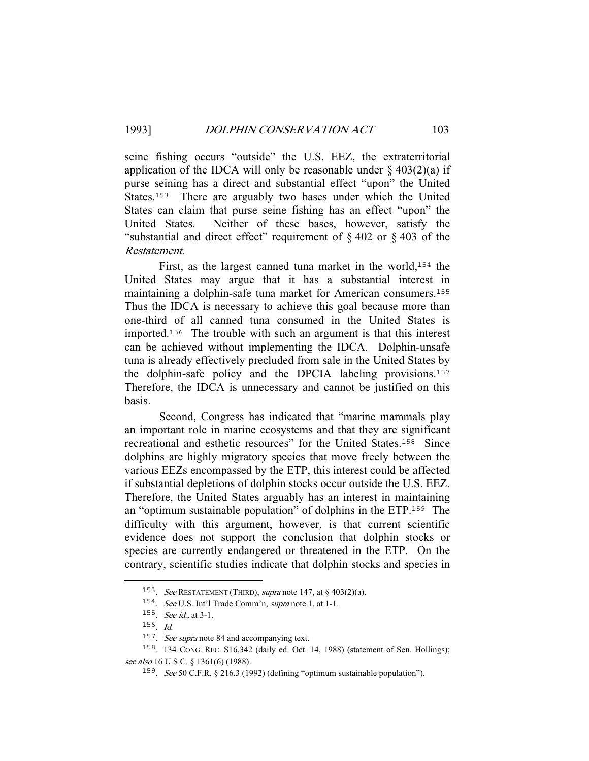seine fishing occurs "outside" the U.S. EEZ, the extraterritorial application of the IDCA will only be reasonable under  $\S 403(2)(a)$  if purse seining has a direct and substantial effect "upon" the United States.<sup>153</sup> There are arguably two bases under which the United States can claim that purse seine fishing has an effect "upon" the United States. Neither of these bases, however, satisfy the "substantial and direct effect" requirement of  $\S 402$  or  $\S 403$  of the Restatement.

First, as the largest canned tuna market in the world,<sup>154</sup> the United States may argue that it has a substantial interest in maintaining a dolphin-safe tuna market for American consumers.<sup>155</sup> Thus the IDCA is necessary to achieve this goal because more than one-third of all canned tuna consumed in the United States is imported.<sup>156</sup> The trouble with such an argument is that this interest can be achieved without implementing the IDCA. Dolphin-unsafe tuna is already effectively precluded from sale in the United States by the dolphin-safe policy and the DPCIA labeling provisions.<sup>157</sup> Therefore, the IDCA is unnecessary and cannot be justified on this basis.

 Second, Congress has indicated that "marine mammals play an important role in marine ecosystems and that they are significant recreational and esthetic resources" for the United States.<sup>158</sup> Since dolphins are highly migratory species that move freely between the various EEZs encompassed by the ETP, this interest could be affected if substantial depletions of dolphin stocks occur outside the U.S. EEZ. Therefore, the United States arguably has an interest in maintaining an "optimum sustainable population" of dolphins in the ETP.<sup>159</sup> The difficulty with this argument, however, is that current scientific evidence does not support the conclusion that dolphin stocks or species are currently endangered or threatened in the ETP. On the contrary, scientific studies indicate that dolphin stocks and species in

<sup>&</sup>lt;sup>153</sup>. See RESTATEMENT (THIRD), supra note 147, at  $\S$  403(2)(a).

<sup>154</sup>. See U.S. Int'l Trade Comm'n, supra note 1, at 1-1.

<sup>155</sup>. See id., at 3-1.

<sup>156</sup>. Id.

<sup>157</sup>. See supra note 84 and accompanying text.

<sup>158</sup>. 134 CONG. REC. S16,342 (daily ed. Oct. 14, 1988) (statement of Sen. Hollings); see also 16 U.S.C. § 1361(6) (1988).

<sup>159</sup>. See 50 C.F.R. § 216.3 (1992) (defining "optimum sustainable population").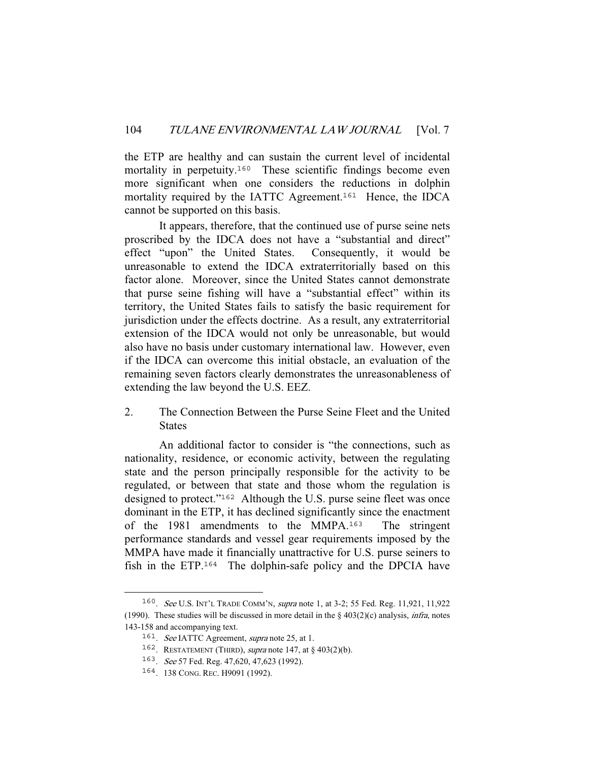the ETP are healthy and can sustain the current level of incidental mortality in perpetuity.<sup>160</sup> These scientific findings become even more significant when one considers the reductions in dolphin mortality required by the IATTC Agreement.<sup>161</sup> Hence, the IDCA cannot be supported on this basis.

 It appears, therefore, that the continued use of purse seine nets proscribed by the IDCA does not have a "substantial and direct" effect "upon" the United States. Consequently, it would be unreasonable to extend the IDCA extraterritorially based on this factor alone. Moreover, since the United States cannot demonstrate that purse seine fishing will have a "substantial effect" within its territory, the United States fails to satisfy the basic requirement for jurisdiction under the effects doctrine. As a result, any extraterritorial extension of the IDCA would not only be unreasonable, but would also have no basis under customary international law. However, even if the IDCA can overcome this initial obstacle, an evaluation of the remaining seven factors clearly demonstrates the unreasonableness of extending the law beyond the U.S. EEZ.

2. The Connection Between the Purse Seine Fleet and the United States

 An additional factor to consider is "the connections, such as nationality, residence, or economic activity, between the regulating state and the person principally responsible for the activity to be regulated, or between that state and those whom the regulation is designed to protect."<sup>162</sup> Although the U.S. purse seine fleet was once dominant in the ETP, it has declined significantly since the enactment of the 1981 amendments to the MMPA.<sup>163</sup> The stringent performance standards and vessel gear requirements imposed by the MMPA have made it financially unattractive for U.S. purse seiners to fish in the ETP.<sup>164</sup> The dolphin-safe policy and the DPCIA have

<sup>160</sup>. See U.S. INT'L TRADE COMM'N, supra note 1, at 3-2; 55 Fed. Reg. 11,921, 11,922 (1990). These studies will be discussed in more detail in the  $\S$  403(2)(c) analysis, *infra*, notes 143-158 and accompanying text.

<sup>&</sup>lt;sup>161</sup>. See IATTC Agreement, supra note 25, at 1.

<sup>&</sup>lt;sup>162</sup>. RESTATEMENT (THIRD), *supra* note 147, at  $\S$  403(2)(b).

<sup>163</sup>. See 57 Fed. Reg. 47,620, 47,623 (1992).

<sup>164</sup>. 138 CONG. REC. H9091 (1992).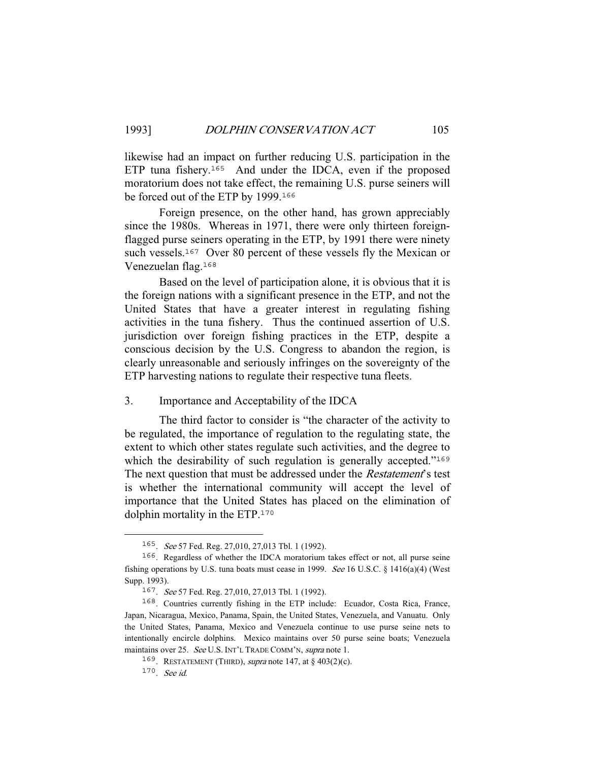likewise had an impact on further reducing U.S. participation in the ETP tuna fishery.<sup>165</sup> And under the IDCA, even if the proposed moratorium does not take effect, the remaining U.S. purse seiners will be forced out of the ETP by 1999.<sup>166</sup>

 Foreign presence, on the other hand, has grown appreciably since the 1980s. Whereas in 1971, there were only thirteen foreignflagged purse seiners operating in the ETP, by 1991 there were ninety such vessels.<sup>167</sup> Over 80 percent of these vessels fly the Mexican or Venezuelan flag.<sup>168</sup>

 Based on the level of participation alone, it is obvious that it is the foreign nations with a significant presence in the ETP, and not the United States that have a greater interest in regulating fishing activities in the tuna fishery. Thus the continued assertion of U.S. jurisdiction over foreign fishing practices in the ETP, despite a conscious decision by the U.S. Congress to abandon the region, is clearly unreasonable and seriously infringes on the sovereignty of the ETP harvesting nations to regulate their respective tuna fleets.

3. Importance and Acceptability of the IDCA

 The third factor to consider is "the character of the activity to be regulated, the importance of regulation to the regulating state, the extent to which other states regulate such activities, and the degree to which the desirability of such regulation is generally accepted."<sup>169</sup> The next question that must be addressed under the *Restatement*'s test is whether the international community will accept the level of importance that the United States has placed on the elimination of dolphin mortality in the ETP.<sup>170</sup>

<sup>165</sup>. See 57 Fed. Reg. 27,010, 27,013 Tbl. 1 (1992).

<sup>166</sup>. Regardless of whether the IDCA moratorium takes effect or not, all purse seine fishing operations by U.S. tuna boats must cease in 1999. See 16 U.S.C. § 1416(a)(4) (West Supp. 1993).

<sup>167</sup>. See 57 Fed. Reg. 27,010, 27,013 Tbl. 1 (1992).

<sup>168</sup>. Countries currently fishing in the ETP include: Ecuador, Costa Rica, France, Japan, Nicaragua, Mexico, Panama, Spain, the United States, Venezuela, and Vanuatu. Only the United States, Panama, Mexico and Venezuela continue to use purse seine nets to intentionally encircle dolphins. Mexico maintains over 50 purse seine boats; Venezuela maintains over 25. See U.S. INT'L TRADE COMM'N, supra note 1.

<sup>&</sup>lt;sup>169</sup>. RESTATEMENT (THIRD), *supra* note 147, at  $\S$  403(2)(c).

<sup>170</sup>. See id.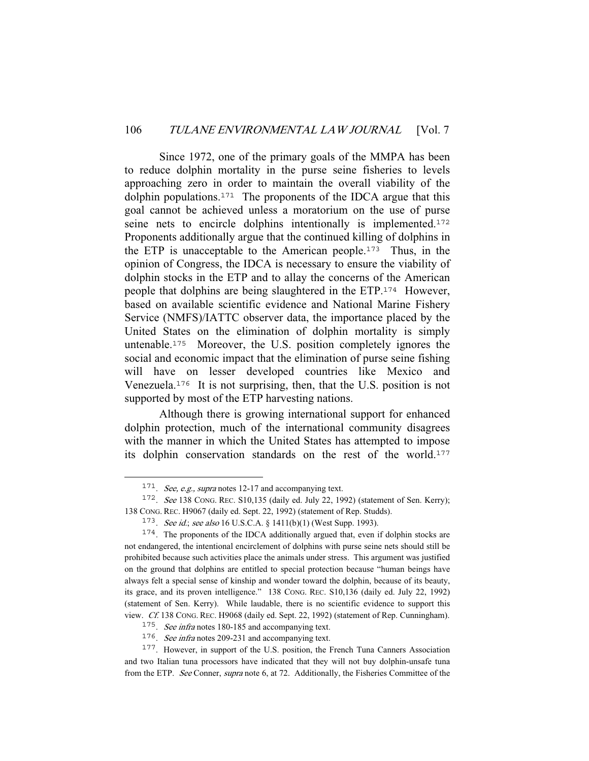Since 1972, one of the primary goals of the MMPA has been to reduce dolphin mortality in the purse seine fisheries to levels approaching zero in order to maintain the overall viability of the dolphin populations.<sup>171</sup> The proponents of the IDCA argue that this goal cannot be achieved unless a moratorium on the use of purse seine nets to encircle dolphins intentionally is implemented.<sup>172</sup> Proponents additionally argue that the continued killing of dolphins in the ETP is unacceptable to the American people.<sup>173</sup> Thus, in the opinion of Congress, the IDCA is necessary to ensure the viability of dolphin stocks in the ETP and to allay the concerns of the American people that dolphins are being slaughtered in the ETP.<sup>174</sup> However, based on available scientific evidence and National Marine Fishery Service (NMFS)/IATTC observer data, the importance placed by the United States on the elimination of dolphin mortality is simply untenable.<sup>175</sup> Moreover, the U.S. position completely ignores the social and economic impact that the elimination of purse seine fishing will have on lesser developed countries like Mexico and Venezuela.<sup>176</sup> It is not surprising, then, that the U.S. position is not supported by most of the ETP harvesting nations.

 Although there is growing international support for enhanced dolphin protection, much of the international community disagrees with the manner in which the United States has attempted to impose its dolphin conservation standards on the rest of the world.<sup>177</sup>

 $171.$  See, e.g., supra notes 12-17 and accompanying text.

<sup>172</sup>. See 138 CONG. REC. S10,135 (daily ed. July 22, 1992) (statement of Sen. Kerry); 138 CONG. REC. H9067 (daily ed. Sept. 22, 1992) (statement of Rep. Studds).

<sup>173.</sup> See id.; see also 16 U.S.C.A. § 1411(b)(1) (West Supp. 1993).

<sup>174</sup>. The proponents of the IDCA additionally argued that, even if dolphin stocks are not endangered, the intentional encirclement of dolphins with purse seine nets should still be prohibited because such activities place the animals under stress. This argument was justified on the ground that dolphins are entitled to special protection because "human beings have always felt a special sense of kinship and wonder toward the dolphin, because of its beauty, its grace, and its proven intelligence." 138 CONG. REC. S10,136 (daily ed. July 22, 1992) (statement of Sen. Kerry). While laudable, there is no scientific evidence to support this view. Cf. 138 CONG. REC. H9068 (daily ed. Sept. 22, 1992) (statement of Rep. Cunningham).

<sup>&</sup>lt;sup>175</sup>. See infra notes 180-185 and accompanying text.

<sup>&</sup>lt;sup>176</sup>. See infra notes 209-231 and accompanying text.

<sup>177</sup>. However, in support of the U.S. position, the French Tuna Canners Association and two Italian tuna processors have indicated that they will not buy dolphin-unsafe tuna from the ETP. See Conner, supra note 6, at 72. Additionally, the Fisheries Committee of the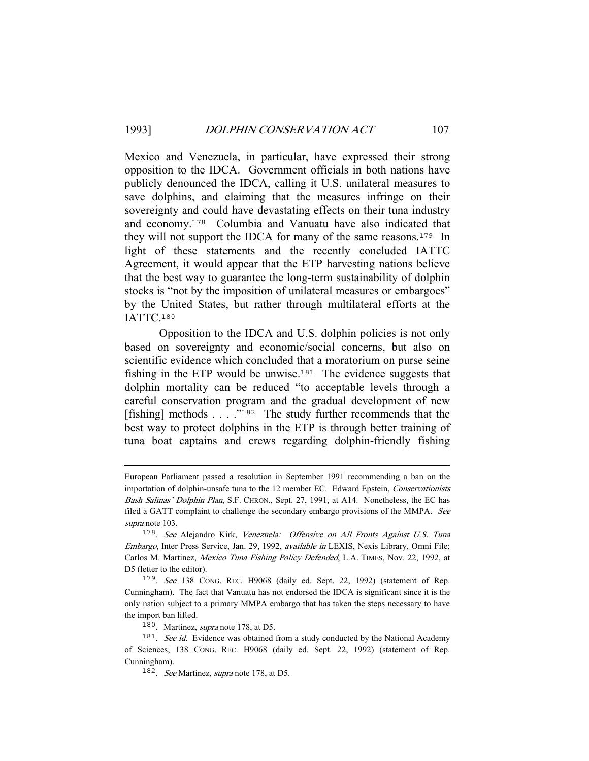Mexico and Venezuela, in particular, have expressed their strong opposition to the IDCA. Government officials in both nations have publicly denounced the IDCA, calling it U.S. unilateral measures to save dolphins, and claiming that the measures infringe on their sovereignty and could have devastating effects on their tuna industry and economy.<sup>178</sup> Columbia and Vanuatu have also indicated that they will not support the IDCA for many of the same reasons.<sup>179</sup> In light of these statements and the recently concluded IATTC Agreement, it would appear that the ETP harvesting nations believe that the best way to guarantee the long-term sustainability of dolphin stocks is "not by the imposition of unilateral measures or embargoes" by the United States, but rather through multilateral efforts at the IATTC.<sup>180</sup>

 Opposition to the IDCA and U.S. dolphin policies is not only based on sovereignty and economic/social concerns, but also on scientific evidence which concluded that a moratorium on purse seine fishing in the ETP would be unwise.<sup>181</sup> The evidence suggests that dolphin mortality can be reduced "to acceptable levels through a careful conservation program and the gradual development of new [fishing] methods . . . ."<sup>182</sup> The study further recommends that the best way to protect dolphins in the ETP is through better training of tuna boat captains and crews regarding dolphin-friendly fishing

European Parliament passed a resolution in September 1991 recommending a ban on the importation of dolphin-unsafe tuna to the 12 member EC. Edward Epstein, Conservationists Bash Salinas' Dolphin Plan, S.F. CHRON., Sept. 27, 1991, at A14. Nonetheless, the EC has filed a GATT complaint to challenge the secondary embargo provisions of the MMPA. See supra note 103.

<sup>178</sup>. See Alejandro Kirk, Venezuela: Offensive on All Fronts Against U.S. Tuna Embargo, Inter Press Service, Jan. 29, 1992, available in LEXIS, Nexis Library, Omni File; Carlos M. Martinez, Mexico Tuna Fishing Policy Defended, L.A. TIMES, Nov. 22, 1992, at D5 (letter to the editor).

<sup>179</sup>. See 138 CONG. REC. H9068 (daily ed. Sept. 22, 1992) (statement of Rep. Cunningham). The fact that Vanuatu has not endorsed the IDCA is significant since it is the only nation subject to a primary MMPA embargo that has taken the steps necessary to have the import ban lifted.

<sup>180</sup>. Martinez, supra note 178, at D5.

<sup>&</sup>lt;sup>181</sup>. See id. Evidence was obtained from a study conducted by the National Academy of Sciences, 138 CONG. REC. H9068 (daily ed. Sept. 22, 1992) (statement of Rep. Cunningham).

<sup>&</sup>lt;sup>182</sup>. See Martinez, supra note 178, at D5.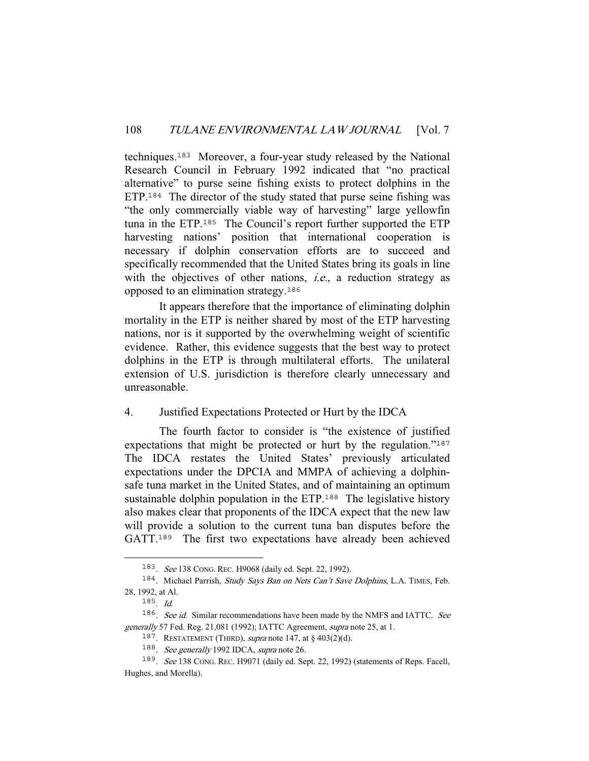techniques.<sup>183</sup> Moreover, a four-year study released by the National Research Council in February 1992 indicated that "no practical alternative" to purse seine fishing exists to protect dolphins in the ETP.<sup>184</sup> The director of the study stated that purse seine fishing was "the only commercially viable way of harvesting" large yellowfin tuna in the ETP.<sup>185</sup> The Council's report further supported the ETP harvesting nations' position that international cooperation is necessary if dolphin conservation efforts are to succeed and specifically recommended that the United States bring its goals in line with the objectives of other nations, *i.e.*, a reduction strategy as opposed to an elimination strategy.<sup>186</sup>

 It appears therefore that the importance of eliminating dolphin mortality in the ETP is neither shared by most of the ETP harvesting nations, nor is it supported by the overwhelming weight of scientific evidence. Rather, this evidence suggests that the best way to protect dolphins in the ETP is through multilateral efforts. The unilateral extension of U.S. jurisdiction is therefore clearly unnecessary and unreasonable.

### 4. Justified Expectations Protected or Hurt by the IDCA

 The fourth factor to consider is "the existence of justified expectations that might be protected or hurt by the regulation."<sup>187</sup> The IDCA restates the United States' previously articulated expectations under the DPCIA and MMPA of achieving a dolphinsafe tuna market in the United States, and of maintaining an optimum sustainable dolphin population in the ETP.<sup>188</sup> The legislative history also makes clear that proponents of the IDCA expect that the new law will provide a solution to the current tuna ban disputes before the GATT.<sup>189</sup> The first two expectations have already been achieved

<sup>183</sup>. See 138 CONG. REC. H9068 (daily ed. Sept. 22, 1992).

<sup>&</sup>lt;sup>184</sup>. Michael Parrish, Study Says Ban on Nets Can't Save Dolphins, L.A. TIMES, Feb. 28, 1992, at Al.

 $185$ . Id.

<sup>&</sup>lt;sup>186</sup>. See id. Similar recommendations have been made by the NMFS and IATTC. See generally 57 Fed. Reg. 21,081 (1992); IATTC Agreement, supra note 25, at 1.

<sup>&</sup>lt;sup>187</sup>. RESTATEMENT (THIRD), *supra* note 147, at § 403(2)(d).

<sup>&</sup>lt;sup>188</sup>. See generally 1992 IDCA, supra note 26.

<sup>189</sup>. See 138 CONG. REC. H9071 (daily ed. Sept. 22, 1992) (statements of Reps. Facell, Hughes, and Morella).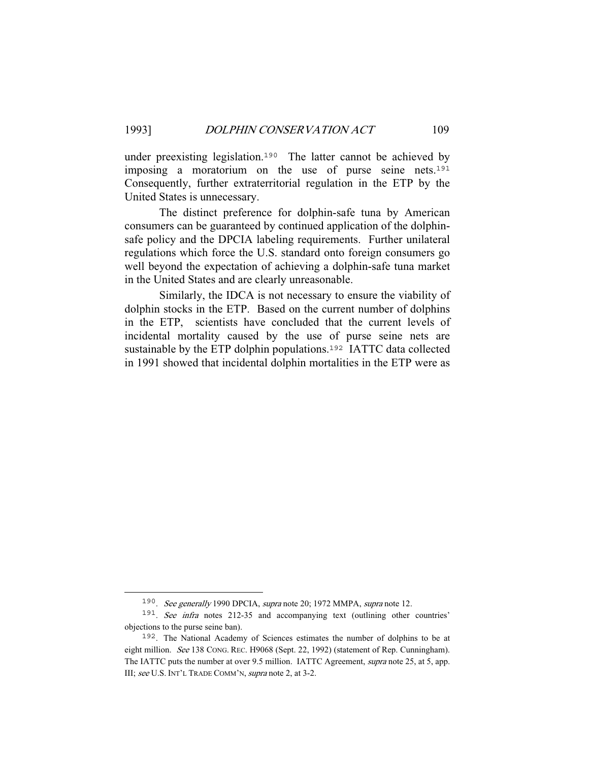under preexisting legislation.<sup>190</sup> The latter cannot be achieved by imposing a moratorium on the use of purse seine nets.<sup>191</sup> Consequently, further extraterritorial regulation in the ETP by the United States is unnecessary.

 The distinct preference for dolphin-safe tuna by American consumers can be guaranteed by continued application of the dolphinsafe policy and the DPCIA labeling requirements. Further unilateral regulations which force the U.S. standard onto foreign consumers go well beyond the expectation of achieving a dolphin-safe tuna market in the United States and are clearly unreasonable.

 Similarly, the IDCA is not necessary to ensure the viability of dolphin stocks in the ETP. Based on the current number of dolphins in the ETP, scientists have concluded that the current levels of incidental mortality caused by the use of purse seine nets are sustainable by the ETP dolphin populations.<sup>192</sup> IATTC data collected in 1991 showed that incidental dolphin mortalities in the ETP were as

<sup>190</sup>. See generally 1990 DPCIA, supra note 20; 1972 MMPA, supra note 12.

<sup>&</sup>lt;sup>191</sup>. See infra notes 212-35 and accompanying text (outlining other countries' objections to the purse seine ban).

<sup>192</sup>. The National Academy of Sciences estimates the number of dolphins to be at eight million. See 138 CONG. REC. H9068 (Sept. 22, 1992) (statement of Rep. Cunningham). The IATTC puts the number at over 9.5 million. IATTC Agreement, supra note 25, at 5, app. III; see U.S. INT'L TRADE COMM'N, supra note 2, at 3-2.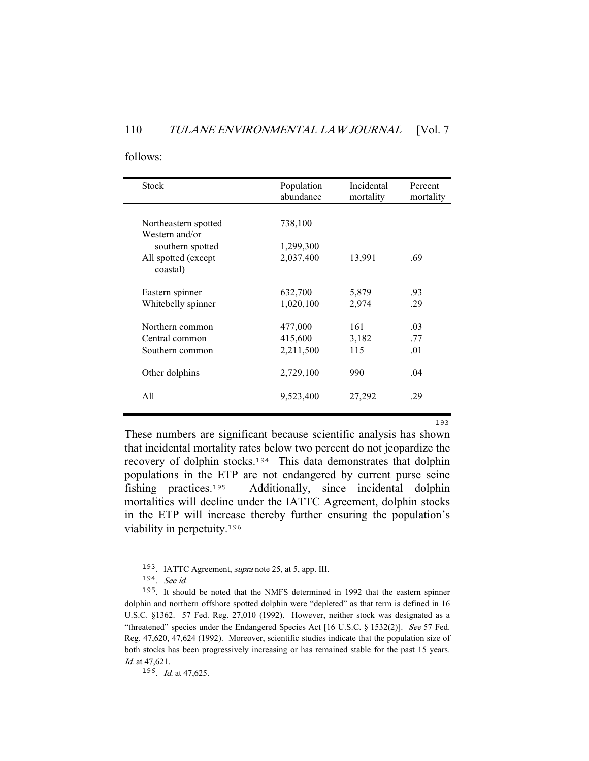#### follows:

| <b>Stock</b>                                         | Population<br>abundance         | Incidental<br>mortality | Percent<br>mortality |
|------------------------------------------------------|---------------------------------|-------------------------|----------------------|
| Northeastern spotted<br>Western and/or               | 738,100                         |                         |                      |
| southern spotted<br>All spotted (except<br>coastal)  | 1,299,300<br>2,037,400          | 13,991                  | .69                  |
| Eastern spinner<br>Whitebelly spinner                | 632,700<br>1,020,100            | 5,879<br>2,974          | .93<br>.29           |
| Northern common<br>Central common<br>Southern common | 477,000<br>415,600<br>2,211,500 | 161<br>3,182<br>115     | .03<br>.77<br>.01    |
| Other dolphins                                       | 2,729,100                       | 990                     | .04                  |
| A11                                                  | 9,523,400                       | 27,292                  | .29                  |

<u>1933 - Johann Stein, amerikan basal di Santa Barat dan Bandara di Santa Barat dan Bandara di Santa Barat dan </u> These numbers are significant because scientific analysis has shown that incidental mortality rates below two percent do not jeopardize the recovery of dolphin stocks.<sup>194</sup> This data demonstrates that dolphin populations in the ETP are not endangered by current purse seine fishing practices.<sup>195</sup> Additionally, since incidental dolphin mortalities will decline under the IATTC Agreement, dolphin stocks in the ETP will increase thereby further ensuring the population's viability in perpetuity.<sup>196</sup>

<sup>193</sup>. IATTC Agreement, supra note 25, at 5, app. III.

<sup>194</sup>. See id.

<sup>195</sup>. It should be noted that the NMFS determined in 1992 that the eastern spinner dolphin and northern offshore spotted dolphin were "depleted" as that term is defined in 16 U.S.C. §1362. 57 Fed. Reg. 27,010 (1992). However, neither stock was designated as a "threatened" species under the Endangered Species Act [16 U.S.C. § 1532(2)]. See 57 Fed. Reg. 47,620, 47,624 (1992). Moreover, scientific studies indicate that the population size of both stocks has been progressively increasing or has remained stable for the past 15 years. Id. at 47,621.

<sup>196</sup>. Id. at 47,625.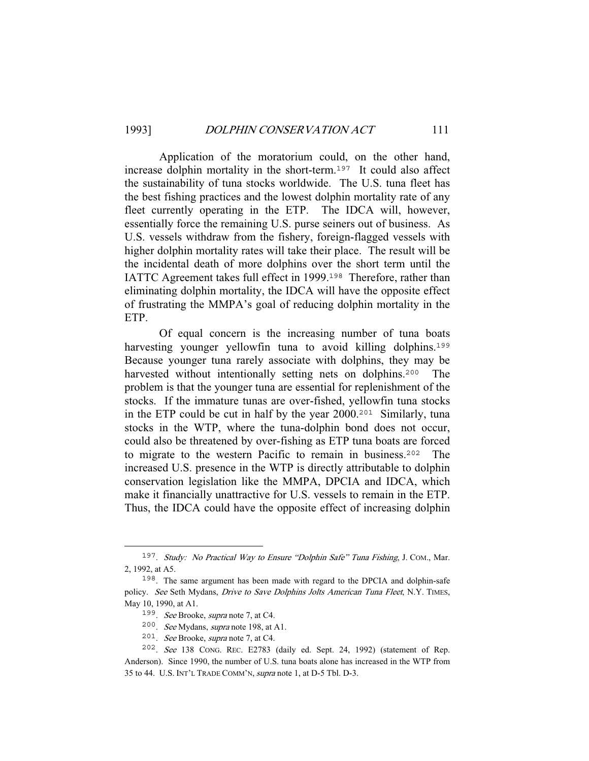Application of the moratorium could, on the other hand, increase dolphin mortality in the short-term.<sup>197</sup> It could also affect the sustainability of tuna stocks worldwide. The U.S. tuna fleet has the best fishing practices and the lowest dolphin mortality rate of any fleet currently operating in the ETP. The IDCA will, however, essentially force the remaining U.S. purse seiners out of business. As U.S. vessels withdraw from the fishery, foreign-flagged vessels with higher dolphin mortality rates will take their place. The result will be the incidental death of more dolphins over the short term until the IATTC Agreement takes full effect in 1999.<sup>198</sup> Therefore, rather than eliminating dolphin mortality, the IDCA will have the opposite effect of frustrating the MMPA's goal of reducing dolphin mortality in the ETP.

 Of equal concern is the increasing number of tuna boats harvesting younger yellowfin tuna to avoid killing dolphins.<sup>199</sup> Because younger tuna rarely associate with dolphins, they may be harvested without intentionally setting nets on dolphins.<sup>200</sup> The problem is that the younger tuna are essential for replenishment of the stocks. If the immature tunas are over-fished, yellowfin tuna stocks in the ETP could be cut in half by the year 2000.<sup>201</sup> Similarly, tuna stocks in the WTP, where the tuna-dolphin bond does not occur, could also be threatened by over-fishing as ETP tuna boats are forced to migrate to the western Pacific to remain in business.<sup>202</sup> The increased U.S. presence in the WTP is directly attributable to dolphin conservation legislation like the MMPA, DPCIA and IDCA, which make it financially unattractive for U.S. vessels to remain in the ETP. Thus, the IDCA could have the opposite effect of increasing dolphin

<sup>&</sup>lt;sup>197</sup>. *Study: No Practical Way to Ensure "Dolphin Safe" Tuna Fishing, J. COM., Mar.* 2, 1992, at A5.

<sup>198</sup>. The same argument has been made with regard to the DPCIA and dolphin-safe policy. See Seth Mydans, Drive to Save Dolphins Jolts American Tuna Fleet, N.Y. TIMES, May 10, 1990, at A1.

<sup>199</sup>. See Brooke, supra note 7, at C4.

<sup>200</sup>. See Mydans, supra note 198, at A1.

<sup>201</sup>. See Brooke, supra note 7, at C4.

<sup>202</sup>. See 138 CONG. REC. E2783 (daily ed. Sept. 24, 1992) (statement of Rep. Anderson). Since 1990, the number of U.S. tuna boats alone has increased in the WTP from 35 to 44. U.S. INT'L TRADE COMM'N, supra note 1, at D-5 Tbl. D-3.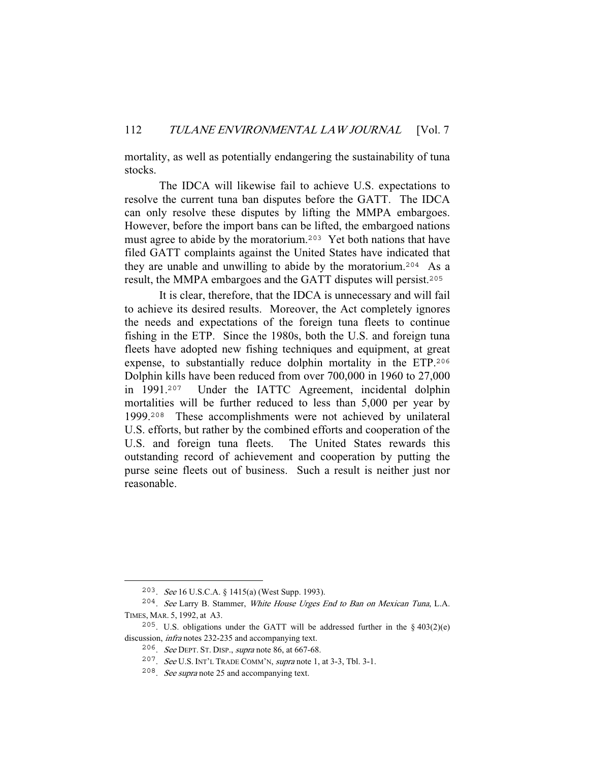mortality, as well as potentially endangering the sustainability of tuna stocks.

 The IDCA will likewise fail to achieve U.S. expectations to resolve the current tuna ban disputes before the GATT. The IDCA can only resolve these disputes by lifting the MMPA embargoes. However, before the import bans can be lifted, the embargoed nations must agree to abide by the moratorium.<sup>203</sup> Yet both nations that have filed GATT complaints against the United States have indicated that they are unable and unwilling to abide by the moratorium.<sup>204</sup> As a result, the MMPA embargoes and the GATT disputes will persist.<sup>205</sup>

 It is clear, therefore, that the IDCA is unnecessary and will fail to achieve its desired results. Moreover, the Act completely ignores the needs and expectations of the foreign tuna fleets to continue fishing in the ETP. Since the 1980s, both the U.S. and foreign tuna fleets have adopted new fishing techniques and equipment, at great expense, to substantially reduce dolphin mortality in the ETP.<sup>206</sup> Dolphin kills have been reduced from over 700,000 in 1960 to 27,000 in 1991.<sup>207</sup> Under the IATTC Agreement, incidental dolphin mortalities will be further reduced to less than 5,000 per year by 1999.<sup>208</sup> These accomplishments were not achieved by unilateral U.S. efforts, but rather by the combined efforts and cooperation of the U.S. and foreign tuna fleets. The United States rewards this outstanding record of achievement and cooperation by putting the purse seine fleets out of business. Such a result is neither just nor reasonable.

<sup>203</sup>. See 16 U.S.C.A. § 1415(a) (West Supp. 1993).

<sup>204</sup>. See Larry B. Stammer, White House Urges End to Ban on Mexican Tuna, L.A. TIMES, MAR. 5, 1992, at A3.

<sup>&</sup>lt;sup>205</sup>. U.S. obligations under the GATT will be addressed further in the  $\S$  403(2)(e) discussion, infra notes 232-235 and accompanying text.

<sup>206</sup>. See DEPT. ST. DISP., supra note 86, at 667-68.

<sup>207</sup>. See U.S. INT'L TRADE COMM'N, supra note 1, at 3-3, Tbl. 3-1.

<sup>208</sup>. See supra note 25 and accompanying text.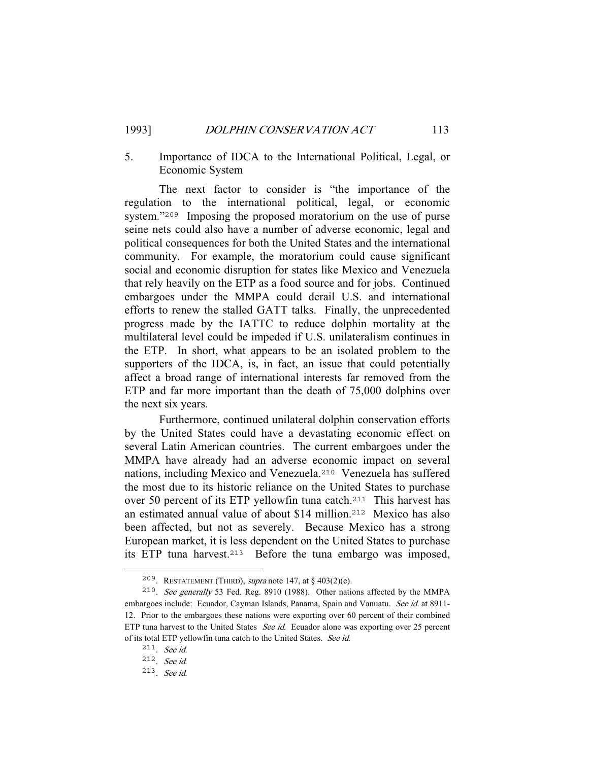# 5. Importance of IDCA to the International Political, Legal, or Economic System

 The next factor to consider is "the importance of the regulation to the international political, legal, or economic system."<sup>209</sup> Imposing the proposed moratorium on the use of purse seine nets could also have a number of adverse economic, legal and political consequences for both the United States and the international community. For example, the moratorium could cause significant social and economic disruption for states like Mexico and Venezuela that rely heavily on the ETP as a food source and for jobs. Continued embargoes under the MMPA could derail U.S. and international efforts to renew the stalled GATT talks. Finally, the unprecedented progress made by the IATTC to reduce dolphin mortality at the multilateral level could be impeded if U.S. unilateralism continues in the ETP. In short, what appears to be an isolated problem to the supporters of the IDCA, is, in fact, an issue that could potentially affect a broad range of international interests far removed from the ETP and far more important than the death of 75,000 dolphins over the next six years.

 Furthermore, continued unilateral dolphin conservation efforts by the United States could have a devastating economic effect on several Latin American countries. The current embargoes under the MMPA have already had an adverse economic impact on several nations, including Mexico and Venezuela.<sup>210</sup> Venezuela has suffered the most due to its historic reliance on the United States to purchase over 50 percent of its ETP yellowfin tuna catch.<sup>211</sup> This harvest has an estimated annual value of about \$14 million.<sup>212</sup> Mexico has also been affected, but not as severely. Because Mexico has a strong European market, it is less dependent on the United States to purchase its ETP tuna harvest.<sup>213</sup> Before the tuna embargo was imposed,

<sup>&</sup>lt;sup>209</sup>. RESTATEMENT (THIRD), *supra* note 147, at  $\S$  403(2)(e).

<sup>210</sup>. See generally 53 Fed. Reg. 8910 (1988). Other nations affected by the MMPA embargoes include: Ecuador, Cayman Islands, Panama, Spain and Vanuatu. See id. at 8911-12. Prior to the embargoes these nations were exporting over 60 percent of their combined ETP tuna harvest to the United States See id. Ecuador alone was exporting over 25 percent of its total ETP yellowfin tuna catch to the United States. See id.

<sup>211</sup>. See id.

<sup>212</sup>. See id.

<sup>213</sup>. See id.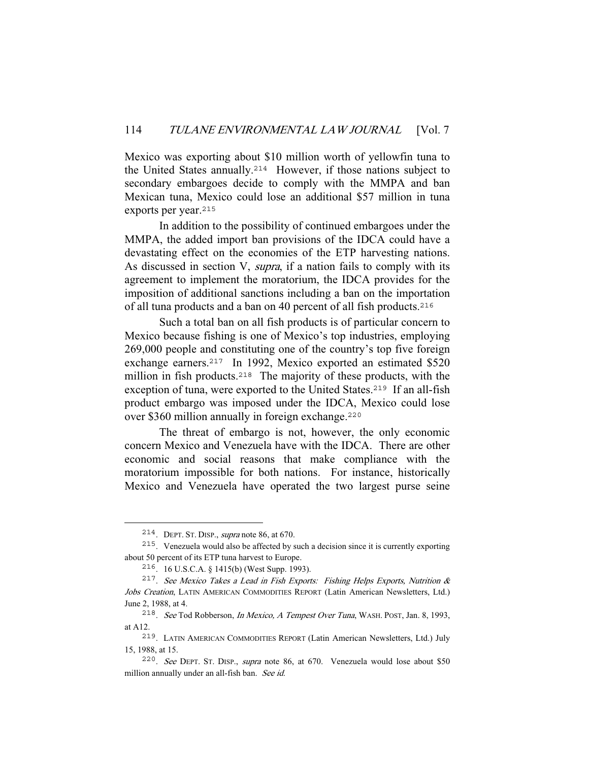Mexico was exporting about \$10 million worth of yellowfin tuna to the United States annually.<sup>214</sup> However, if those nations subject to secondary embargoes decide to comply with the MMPA and ban Mexican tuna, Mexico could lose an additional \$57 million in tuna exports per year.<sup>215</sup>

 In addition to the possibility of continued embargoes under the MMPA, the added import ban provisions of the IDCA could have a devastating effect on the economies of the ETP harvesting nations. As discussed in section V, supra, if a nation fails to comply with its agreement to implement the moratorium, the IDCA provides for the imposition of additional sanctions including a ban on the importation of all tuna products and a ban on 40 percent of all fish products.<sup>216</sup>

 Such a total ban on all fish products is of particular concern to Mexico because fishing is one of Mexico's top industries, employing 269,000 people and constituting one of the country's top five foreign exchange earners.<sup>217</sup> In 1992, Mexico exported an estimated \$520 million in fish products.<sup>218</sup> The majority of these products, with the exception of tuna, were exported to the United States.<sup>219</sup> If an all-fish product embargo was imposed under the IDCA, Mexico could lose over \$360 million annually in foreign exchange.<sup>220</sup>

 The threat of embargo is not, however, the only economic concern Mexico and Venezuela have with the IDCA. There are other economic and social reasons that make compliance with the moratorium impossible for both nations. For instance, historically Mexico and Venezuela have operated the two largest purse seine

<sup>214</sup>. DEPT. ST. DISP., supra note 86, at 670.

<sup>215</sup>. Venezuela would also be affected by such a decision since it is currently exporting about 50 percent of its ETP tuna harvest to Europe.

<sup>216</sup>. 16 U.S.C.A. § 1415(b) (West Supp. 1993).

<sup>&</sup>lt;sup>217</sup>. See Mexico Takes a Lead in Fish Exports: Fishing Helps Exports, Nutrition & Jobs Creation, LATIN AMERICAN COMMODITIES REPORT (Latin American Newsletters, Ltd.) June 2, 1988, at 4.

<sup>218</sup>. See Tod Robberson, In Mexico, A Tempest Over Tuna, WASH. POST, Jan. 8, 1993, at A12.

<sup>219</sup>. LATIN AMERICAN COMMODITIES REPORT (Latin American Newsletters, Ltd.) July 15, 1988, at 15.

<sup>220</sup>. See DEPT. ST. DISP., supra note 86, at 670. Venezuela would lose about \$50 million annually under an all-fish ban. See id.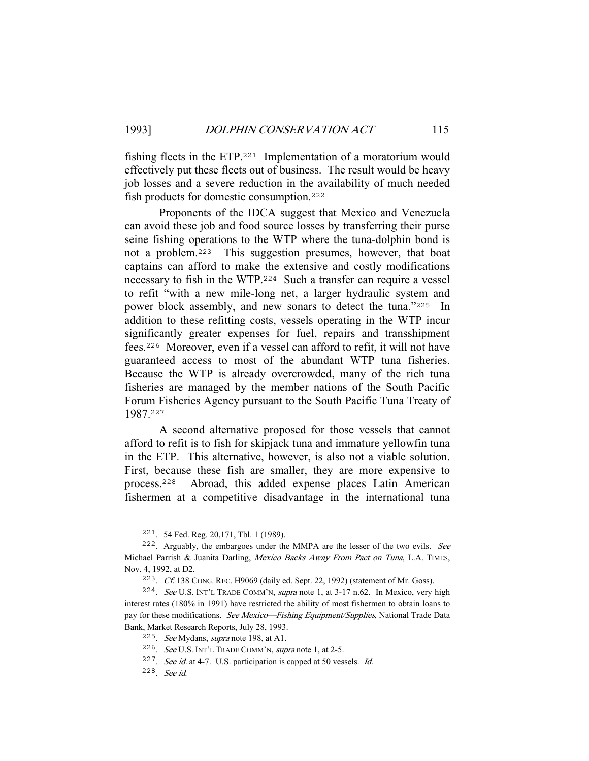fishing fleets in the ETP.<sup>221</sup> Implementation of a moratorium would effectively put these fleets out of business. The result would be heavy job losses and a severe reduction in the availability of much needed fish products for domestic consumption.<sup>222</sup>

 Proponents of the IDCA suggest that Mexico and Venezuela can avoid these job and food source losses by transferring their purse seine fishing operations to the WTP where the tuna-dolphin bond is not a problem.<sup>223</sup> This suggestion presumes, however, that boat captains can afford to make the extensive and costly modifications necessary to fish in the WTP.<sup>224</sup> Such a transfer can require a vessel to refit "with a new mile-long net, a larger hydraulic system and power block assembly, and new sonars to detect the tuna."<sup>225</sup> In addition to these refitting costs, vessels operating in the WTP incur significantly greater expenses for fuel, repairs and transshipment fees.<sup>226</sup> Moreover, even if a vessel can afford to refit, it will not have guaranteed access to most of the abundant WTP tuna fisheries. Because the WTP is already overcrowded, many of the rich tuna fisheries are managed by the member nations of the South Pacific Forum Fisheries Agency pursuant to the South Pacific Tuna Treaty of 1987.<sup>227</sup>

 A second alternative proposed for those vessels that cannot afford to refit is to fish for skipjack tuna and immature yellowfin tuna in the ETP. This alternative, however, is also not a viable solution. First, because these fish are smaller, they are more expensive to process.<sup>228</sup> Abroad, this added expense places Latin American fishermen at a competitive disadvantage in the international tuna

<sup>221</sup>. 54 Fed. Reg. 20,171, Tbl. 1 (1989).

<sup>222</sup>. Arguably, the embargoes under the MMPA are the lesser of the two evils. See Michael Parrish & Juanita Darling, Mexico Backs Away From Pact on Tuna, L.A. TIMES, Nov. 4, 1992, at D2.

<sup>223</sup>. Cf. 138 CONG. REC. H9069 (daily ed. Sept. 22, 1992) (statement of Mr. Goss).

<sup>224</sup>. See U.S. INT'L TRADE COMM'N, supra note 1, at 3-17 n.62. In Mexico, very high interest rates (180% in 1991) have restricted the ability of most fishermen to obtain loans to pay for these modifications. See Mexico—Fishing Equipment/Supplies, National Trade Data Bank, Market Research Reports, July 28, 1993.

<sup>225</sup>. See Mydans, supra note 198, at A1.

<sup>226</sup>. See U.S. INT'L TRADE COMM'N, supra note 1, at 2-5.

<sup>227</sup>. See id. at 4-7. U.S. participation is capped at 50 vessels. Id.

<sup>228</sup>. See id.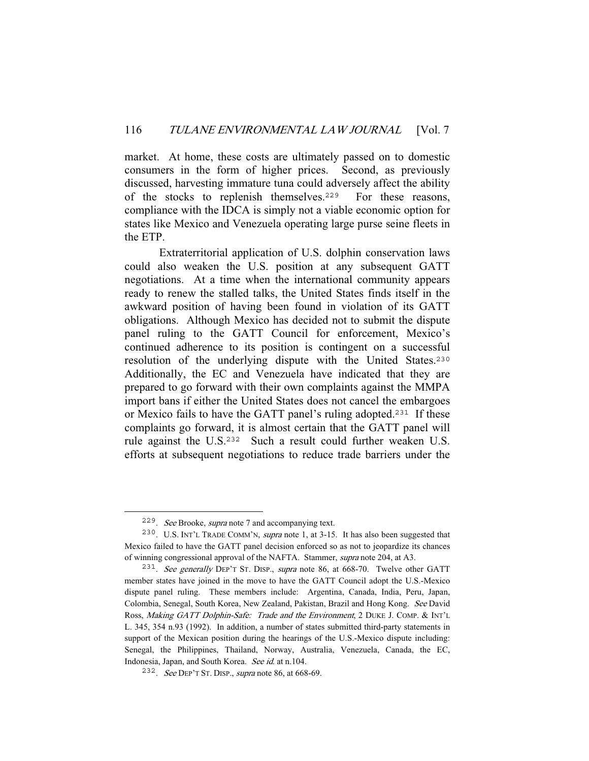market. At home, these costs are ultimately passed on to domestic consumers in the form of higher prices. Second, as previously discussed, harvesting immature tuna could adversely affect the ability of the stocks to replenish themselves.<sup>229</sup> For these reasons, compliance with the IDCA is simply not a viable economic option for states like Mexico and Venezuela operating large purse seine fleets in the ETP.

 Extraterritorial application of U.S. dolphin conservation laws could also weaken the U.S. position at any subsequent GATT negotiations. At a time when the international community appears ready to renew the stalled talks, the United States finds itself in the awkward position of having been found in violation of its GATT obligations. Although Mexico has decided not to submit the dispute panel ruling to the GATT Council for enforcement, Mexico's continued adherence to its position is contingent on a successful resolution of the underlying dispute with the United States.<sup>230</sup> Additionally, the EC and Venezuela have indicated that they are prepared to go forward with their own complaints against the MMPA import bans if either the United States does not cancel the embargoes or Mexico fails to have the GATT panel's ruling adopted.<sup>231</sup> If these complaints go forward, it is almost certain that the GATT panel will rule against the U.S.<sup>232</sup> Such a result could further weaken U.S. efforts at subsequent negotiations to reduce trade barriers under the

<sup>229</sup>. See Brooke, supra note 7 and accompanying text.

<sup>230</sup>. U.S. INT'L TRADE COMM'N, supra note 1, at 3-15. It has also been suggested that Mexico failed to have the GATT panel decision enforced so as not to jeopardize its chances of winning congressional approval of the NAFTA. Stammer, supra note 204, at A3.

<sup>&</sup>lt;sup>231</sup>. See generally DEP'T ST. DISP., supra note 86, at 668-70. Twelve other GATT member states have joined in the move to have the GATT Council adopt the U.S.-Mexico dispute panel ruling. These members include: Argentina, Canada, India, Peru, Japan, Colombia, Senegal, South Korea, New Zealand, Pakistan, Brazil and Hong Kong. See David Ross, Making GATT Dolphin-Safe: Trade and the Environment, 2 DUKE J. COMP. & INT'L L. 345, 354 n.93 (1992). In addition, a number of states submitted third-party statements in support of the Mexican position during the hearings of the U.S.-Mexico dispute including: Senegal, the Philippines, Thailand, Norway, Australia, Venezuela, Canada, the EC, Indonesia, Japan, and South Korea. See id. at n.104.

<sup>&</sup>lt;sup>232</sup>. See DEP'T ST. DISP., supra note 86, at 668-69.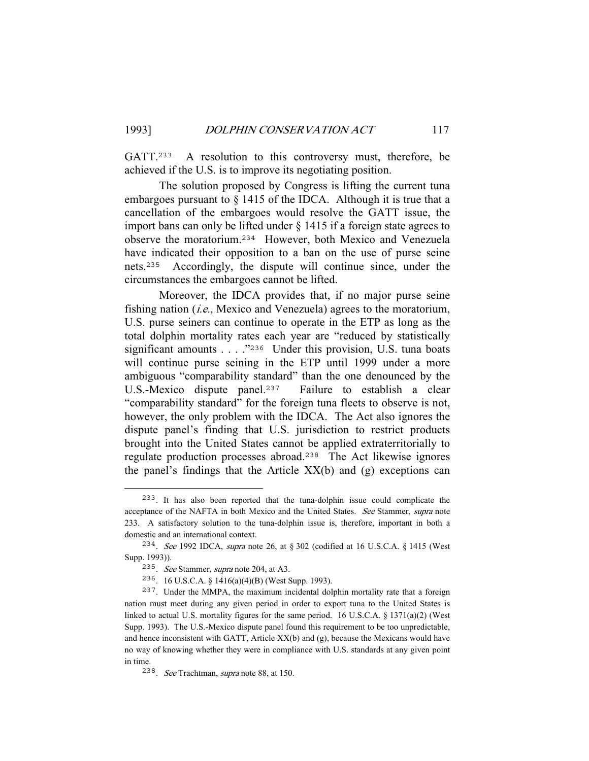GATT.<sup>233</sup> A resolution to this controversy must, therefore, be achieved if the U.S. is to improve its negotiating position.

 The solution proposed by Congress is lifting the current tuna embargoes pursuant to § 1415 of the IDCA. Although it is true that a cancellation of the embargoes would resolve the GATT issue, the import bans can only be lifted under § 1415 if a foreign state agrees to observe the moratorium.<sup>234</sup> However, both Mexico and Venezuela have indicated their opposition to a ban on the use of purse seine nets.<sup>235</sup> Accordingly, the dispute will continue since, under the circumstances the embargoes cannot be lifted.

 Moreover, the IDCA provides that, if no major purse seine fishing nation  $(i.e.,$  Mexico and Venezuela) agrees to the moratorium, U.S. purse seiners can continue to operate in the ETP as long as the total dolphin mortality rates each year are "reduced by statistically significant amounts . . . . "236 Under this provision, U.S. tuna boats will continue purse seining in the ETP until 1999 under a more ambiguous "comparability standard" than the one denounced by the U.S.-Mexico dispute panel.<sup>237</sup> Failure to establish a clear "comparability standard" for the foreign tuna fleets to observe is not, however, the only problem with the IDCA. The Act also ignores the dispute panel's finding that U.S. jurisdiction to restrict products brought into the United States cannot be applied extraterritorially to regulate production processes abroad.<sup>238</sup> The Act likewise ignores the panel's findings that the Article  $XX(b)$  and  $(g)$  exceptions can

<sup>233</sup>. It has also been reported that the tuna-dolphin issue could complicate the acceptance of the NAFTA in both Mexico and the United States. See Stammer, supra note 233. A satisfactory solution to the tuna-dolphin issue is, therefore, important in both a domestic and an international context.

<sup>234</sup>. See 1992 IDCA, supra note 26, at § 302 (codified at 16 U.S.C.A. § 1415 (West Supp. 1993)).

<sup>235</sup>. See Stammer, supra note 204, at A3.

<sup>236</sup>. 16 U.S.C.A. § 1416(a)(4)(B) (West Supp. 1993).

<sup>237</sup>. Under the MMPA, the maximum incidental dolphin mortality rate that a foreign nation must meet during any given period in order to export tuna to the United States is linked to actual U.S. mortality figures for the same period. 16 U.S.C.A. § 1371(a)(2) (West Supp. 1993). The U.S.-Mexico dispute panel found this requirement to be too unpredictable, and hence inconsistent with GATT, Article XX(b) and (g), because the Mexicans would have no way of knowing whether they were in compliance with U.S. standards at any given point in time.

<sup>238</sup>. See Trachtman, supra note 88, at 150.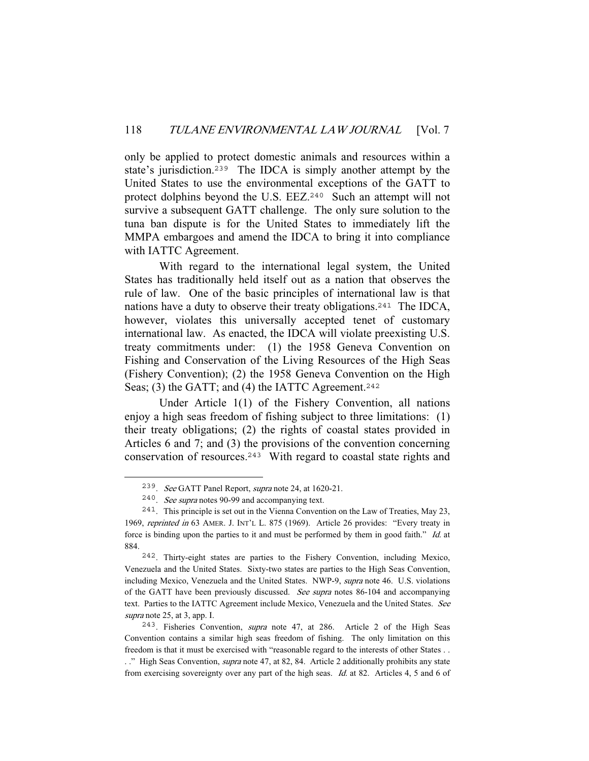only be applied to protect domestic animals and resources within a state's jurisdiction.<sup>239</sup> The IDCA is simply another attempt by the United States to use the environmental exceptions of the GATT to protect dolphins beyond the U.S. EEZ.<sup>240</sup> Such an attempt will not survive a subsequent GATT challenge. The only sure solution to the tuna ban dispute is for the United States to immediately lift the MMPA embargoes and amend the IDCA to bring it into compliance with IATTC Agreement.

 With regard to the international legal system, the United States has traditionally held itself out as a nation that observes the rule of law. One of the basic principles of international law is that nations have a duty to observe their treaty obligations.<sup>241</sup> The IDCA, however, violates this universally accepted tenet of customary international law. As enacted, the IDCA will violate preexisting U.S. treaty commitments under: (1) the 1958 Geneva Convention on Fishing and Conservation of the Living Resources of the High Seas (Fishery Convention); (2) the 1958 Geneva Convention on the High Seas; (3) the GATT; and (4) the IATTC Agreement.<sup>242</sup>

 Under Article 1(1) of the Fishery Convention, all nations enjoy a high seas freedom of fishing subject to three limitations: (1) their treaty obligations; (2) the rights of coastal states provided in Articles 6 and 7; and (3) the provisions of the convention concerning conservation of resources.<sup>243</sup> With regard to coastal state rights and

<sup>239</sup>. See GATT Panel Report, supra note 24, at 1620-21.

<sup>240</sup>. See supra notes 90-99 and accompanying text.

<sup>241</sup>. This principle is set out in the Vienna Convention on the Law of Treaties, May 23, 1969, reprinted in 63 AMER. J. INT'L L. 875 (1969). Article 26 provides: "Every treaty in force is binding upon the parties to it and must be performed by them in good faith." Id. at 884.

<sup>242</sup>. Thirty-eight states are parties to the Fishery Convention, including Mexico, Venezuela and the United States. Sixty-two states are parties to the High Seas Convention, including Mexico, Venezuela and the United States. NWP-9, supra note 46. U.S. violations of the GATT have been previously discussed. See supra notes 86-104 and accompanying text. Parties to the IATTC Agreement include Mexico, Venezuela and the United States. See supra note 25, at 3, app. I.

<sup>&</sup>lt;sup>243</sup>. Fisheries Convention, *supra* note 47, at 286. Article 2 of the High Seas Convention contains a similar high seas freedom of fishing. The only limitation on this freedom is that it must be exercised with "reasonable regard to the interests of other States . . . ." High Seas Convention, *supra* note 47, at 82, 84. Article 2 additionally prohibits any state from exercising sovereignty over any part of the high seas. Id. at 82. Articles 4, 5 and 6 of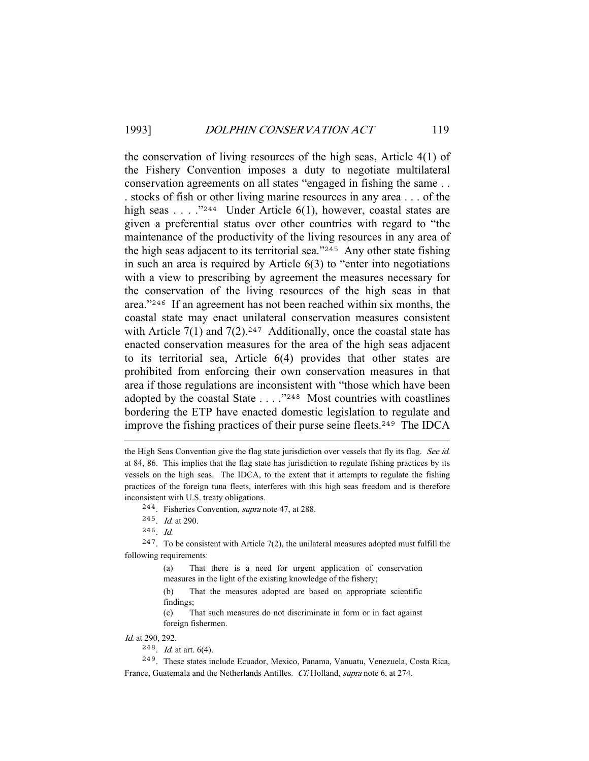the conservation of living resources of the high seas, Article 4(1) of the Fishery Convention imposes a duty to negotiate multilateral conservation agreements on all states "engaged in fishing the same . . . stocks of fish or other living marine resources in any area . . . of the high seas . . . ."<sup>244</sup> Under Article 6(1), however, coastal states are given a preferential status over other countries with regard to "the maintenance of the productivity of the living resources in any area of the high seas adjacent to its territorial sea."<sup>245</sup> Any other state fishing in such an area is required by Article 6(3) to "enter into negotiations with a view to prescribing by agreement the measures necessary for the conservation of the living resources of the high seas in that area."<sup>246</sup> If an agreement has not been reached within six months, the coastal state may enact unilateral conservation measures consistent with Article  $7(1)$  and  $7(2)$ .<sup>247</sup> Additionally, once the coastal state has enacted conservation measures for the area of the high seas adjacent to its territorial sea, Article 6(4) provides that other states are prohibited from enforcing their own conservation measures in that area if those regulations are inconsistent with "those which have been adopted by the coastal State . . . ."<sup>248</sup> Most countries with coastlines bordering the ETP have enacted domestic legislation to regulate and improve the fishing practices of their purse seine fleets.<sup>249</sup> The IDCA

Id. at 290, 292.

the High Seas Convention give the flag state jurisdiction over vessels that fly its flag. See id. at 84, 86. This implies that the flag state has jurisdiction to regulate fishing practices by its vessels on the high seas. The IDCA, to the extent that it attempts to regulate the fishing practices of the foreign tuna fleets, interferes with this high seas freedom and is therefore inconsistent with U.S. treaty obligations.

<sup>&</sup>lt;sup>244</sup>. Fisheries Convention, *supra* note 47, at 288.

 $245$ . *Id.* at 290.

 $246$ . *Id.* 

 $247$ . To be consistent with Article 7(2), the unilateral measures adopted must fulfill the following requirements:

<sup>(</sup>a) That there is a need for urgent application of conservation measures in the light of the existing knowledge of the fishery;

<sup>(</sup>b) That the measures adopted are based on appropriate scientific findings;

<sup>(</sup>c) That such measures do not discriminate in form or in fact against foreign fishermen.

 $248$ . *Id.* at art. 6(4).

<sup>249</sup>. These states include Ecuador, Mexico, Panama, Vanuatu, Venezuela, Costa Rica, France, Guatemala and the Netherlands Antilles. Cf. Holland, supra note 6, at 274.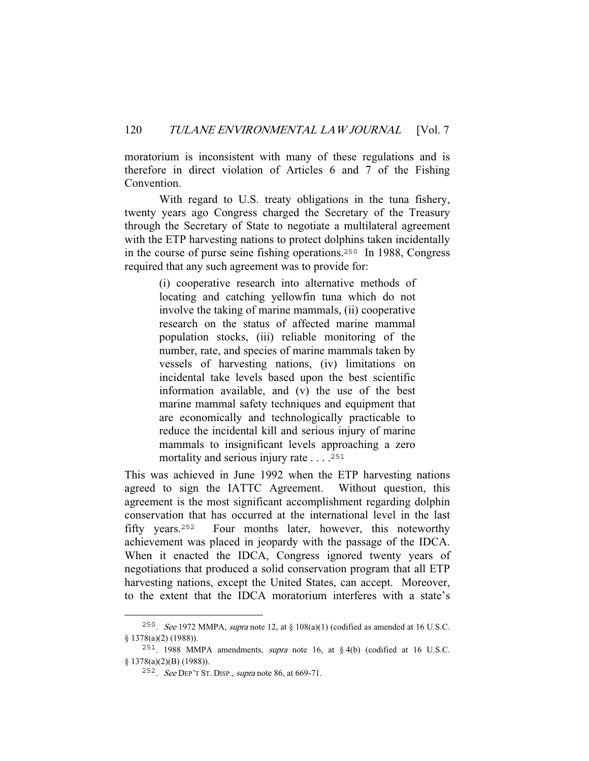moratorium is inconsistent with many of these regulations and is therefore in direct violation of Articles 6 and 7 of the Fishing Convention.

 With regard to U.S. treaty obligations in the tuna fishery, twenty years ago Congress charged the Secretary of the Treasury through the Secretary of State to negotiate a multilateral agreement with the ETP harvesting nations to protect dolphins taken incidentally in the course of purse seine fishing operations.<sup>250</sup> In 1988, Congress required that any such agreement was to provide for:

> (i) cooperative research into alternative methods of locating and catching yellowfin tuna which do not involve the taking of marine mammals, (ii) cooperative research on the status of affected marine mammal population stocks, (iii) reliable monitoring of the number, rate, and species of marine mammals taken by vessels of harvesting nations, (iv) limitations on incidental take levels based upon the best scientific information available, and (v) the use of the best marine mammal safety techniques and equipment that are economically and technologically practicable to reduce the incidental kill and serious injury of marine mammals to insignificant levels approaching a zero mortality and serious injury rate . . . .<sup>251</sup>

This was achieved in June 1992 when the ETP harvesting nations agreed to sign the IATTC Agreement. Without question, this agreement is the most significant accomplishment regarding dolphin conservation that has occurred at the international level in the last fifty years.<sup>252</sup> Four months later, however, this noteworthy achievement was placed in jeopardy with the passage of the IDCA. When it enacted the IDCA, Congress ignored twenty years of negotiations that produced a solid conservation program that all ETP harvesting nations, except the United States, can accept. Moreover, to the extent that the IDCA moratorium interferes with a state's

<sup>&</sup>lt;sup>250</sup>. See 1972 MMPA, supra note 12, at § 108(a)(1) (codified as amended at 16 U.S.C. § 1378(a)(2) (1988)).

<sup>251</sup>. 1988 MMPA amendments, supra note 16, at § 4(b) (codified at 16 U.S.C. § 1378(a)(2)(B) (1988)).

<sup>252</sup>. See DEP'T ST. DISP., supra note 86, at 669-71.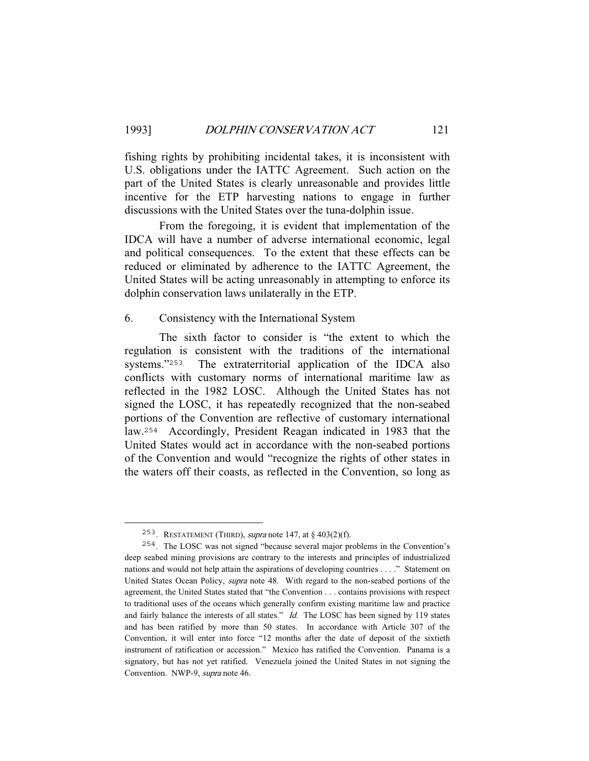fishing rights by prohibiting incidental takes, it is inconsistent with U.S. obligations under the IATTC Agreement. Such action on the part of the United States is clearly unreasonable and provides little incentive for the ETP harvesting nations to engage in further discussions with the United States over the tuna-dolphin issue.

 From the foregoing, it is evident that implementation of the IDCA will have a number of adverse international economic, legal and political consequences. To the extent that these effects can be reduced or eliminated by adherence to the IATTC Agreement, the United States will be acting unreasonably in attempting to enforce its dolphin conservation laws unilaterally in the ETP.

### 6. Consistency with the International System

 The sixth factor to consider is "the extent to which the regulation is consistent with the traditions of the international systems."<sup>253</sup> The extraterritorial application of the IDCA also conflicts with customary norms of international maritime law as reflected in the 1982 LOSC. Although the United States has not signed the LOSC, it has repeatedly recognized that the non-seabed portions of the Convention are reflective of customary international law.<sup>254</sup> Accordingly, President Reagan indicated in 1983 that the United States would act in accordance with the non-seabed portions of the Convention and would "recognize the rights of other states in the waters off their coasts, as reflected in the Convention, so long as

<sup>&</sup>lt;sup>253</sup>. RESTATEMENT (THIRD), *supra* note 147, at  $\S$  403(2)(f).

<sup>254</sup>. The LOSC was not signed "because several major problems in the Convention's deep seabed mining provisions are contrary to the interests and principles of industrialized nations and would not help attain the aspirations of developing countries . . . ." Statement on United States Ocean Policy, *supra* note 48. With regard to the non-seabed portions of the agreement, the United States stated that "the Convention . . . contains provisions with respect to traditional uses of the oceans which generally confirm existing maritime law and practice and fairly balance the interests of all states." Id. The LOSC has been signed by 119 states and has been ratified by more than 50 states. In accordance with Article 307 of the Convention, it will enter into force "12 months after the date of deposit of the sixtieth instrument of ratification or accession." Mexico has ratified the Convention. Panama is a signatory, but has not yet ratified. Venezuela joined the United States in not signing the Convention. NWP-9, supra note 46.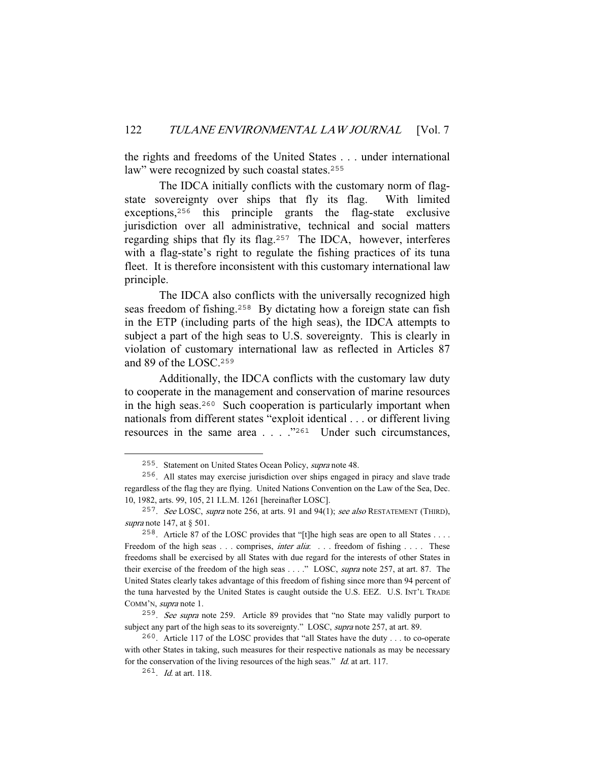the rights and freedoms of the United States . . . under international law" were recognized by such coastal states.<sup>255</sup>

 The IDCA initially conflicts with the customary norm of flagstate sovereignty over ships that fly its flag. With limited exceptions,<sup>256</sup> this principle grants the flag-state exclusive jurisdiction over all administrative, technical and social matters regarding ships that fly its flag.<sup>257</sup> The IDCA, however, interferes with a flag-state's right to regulate the fishing practices of its tuna fleet. It is therefore inconsistent with this customary international law principle.

 The IDCA also conflicts with the universally recognized high seas freedom of fishing.<sup>258</sup> By dictating how a foreign state can fish in the ETP (including parts of the high seas), the IDCA attempts to subject a part of the high seas to U.S. sovereignty. This is clearly in violation of customary international law as reflected in Articles 87 and 89 of the LOSC.<sup>259</sup>

 Additionally, the IDCA conflicts with the customary law duty to cooperate in the management and conservation of marine resources in the high seas.<sup>260</sup> Such cooperation is particularly important when nationals from different states "exploit identical . . . or different living resources in the same area . . . ."<sup>261</sup> Under such circumstances,

<sup>255</sup>. Statement on United States Ocean Policy, supra note 48.

<sup>256</sup>. All states may exercise jurisdiction over ships engaged in piracy and slave trade regardless of the flag they are flying. United Nations Convention on the Law of the Sea, Dec. 10, 1982, arts. 99, 105, 21 I.L.M. 1261 [hereinafter LOSC].

<sup>&</sup>lt;sup>257</sup>. See LOSC, supra note 256, at arts. 91 and 94(1); see also RESTATEMENT (THIRD), supra note 147, at § 501.

<sup>&</sup>lt;sup>258</sup>. Article 87 of the LOSC provides that "[t]he high seas are open to all States . . . . Freedom of the high seas . . . comprises, *inter alia*: . . . freedom of fishing . . . . These freedoms shall be exercised by all States with due regard for the interests of other States in their exercise of the freedom of the high seas . . . ." LOSC, *supra* note 257, at art. 87. The United States clearly takes advantage of this freedom of fishing since more than 94 percent of the tuna harvested by the United States is caught outside the U.S. EEZ. U.S. INT'L TRADE COMM'N, supra note 1.

<sup>259</sup>. See supra note 259. Article 89 provides that "no State may validly purport to subject any part of the high seas to its sovereignty." LOSC, supra note 257, at art. 89.

<sup>260</sup>. Article 117 of the LOSC provides that "all States have the duty . . . to co-operate with other States in taking, such measures for their respective nationals as may be necessary for the conservation of the living resources of the high seas." Id. at art. 117.

<sup>261</sup>. Id. at art. 118.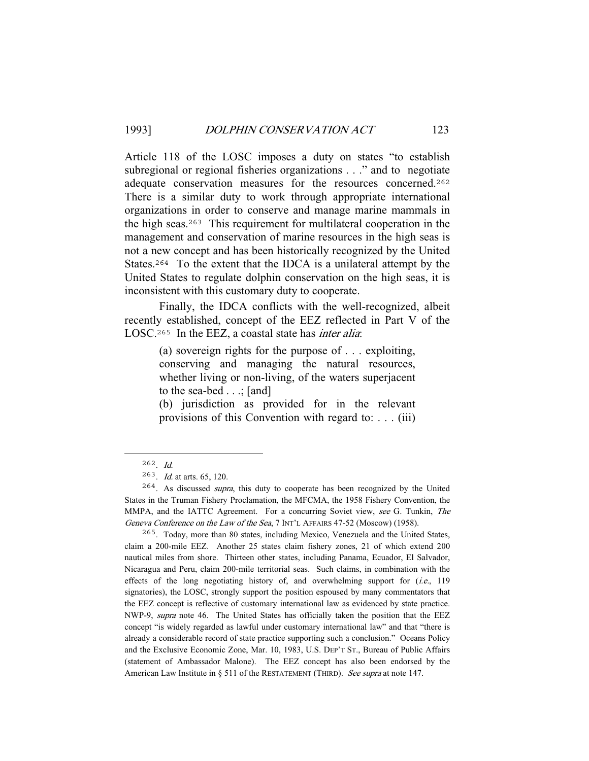Article 118 of the LOSC imposes a duty on states "to establish subregional or regional fisheries organizations . . ." and to negotiate adequate conservation measures for the resources concerned.<sup>262</sup> There is a similar duty to work through appropriate international organizations in order to conserve and manage marine mammals in the high seas.<sup>263</sup> This requirement for multilateral cooperation in the management and conservation of marine resources in the high seas is not a new concept and has been historically recognized by the United States.<sup>264</sup> To the extent that the IDCA is a unilateral attempt by the United States to regulate dolphin conservation on the high seas, it is inconsistent with this customary duty to cooperate.

 Finally, the IDCA conflicts with the well-recognized, albeit recently established, concept of the EEZ reflected in Part V of the LOSC.<sup>265</sup> In the EEZ, a coastal state has *inter alia*:

> (a) sovereign rights for the purpose of . . . exploiting, conserving and managing the natural resources, whether living or non-living, of the waters superjacent to the sea-bed . . .; [and]

> (b) jurisdiction as provided for in the relevant provisions of this Convention with regard to: . . . (iii)

<sup>265</sup>. Today, more than 80 states, including Mexico, Venezuela and the United States, claim a 200-mile EEZ. Another 25 states claim fishery zones, 21 of which extend 200 nautical miles from shore. Thirteen other states, including Panama, Ecuador, El Salvador, Nicaragua and Peru, claim 200-mile territorial seas. Such claims, in combination with the effects of the long negotiating history of, and overwhelming support for  $(i.e., 119)$ signatories), the LOSC, strongly support the position espoused by many commentators that the EEZ concept is reflective of customary international law as evidenced by state practice. NWP-9, supra note 46. The United States has officially taken the position that the EEZ concept "is widely regarded as lawful under customary international law" and that "there is already a considerable record of state practice supporting such a conclusion." Oceans Policy and the Exclusive Economic Zone, Mar. 10, 1983, U.S. DEP'T ST., Bureau of Public Affairs (statement of Ambassador Malone). The EEZ concept has also been endorsed by the American Law Institute in § 511 of the RESTATEMENT (THIRD). See supra at note 147.

 $262$ . *Id.* 

<sup>263</sup>. Id. at arts. 65, 120.

<sup>&</sup>lt;sup>264</sup>. As discussed *supra*, this duty to cooperate has been recognized by the United States in the Truman Fishery Proclamation, the MFCMA, the 1958 Fishery Convention, the MMPA, and the IATTC Agreement. For a concurring Soviet view, see G. Tunkin, The Geneva Conference on the Law of the Sea, 7 INT'L AFFAIRS 47-52 (Moscow) (1958).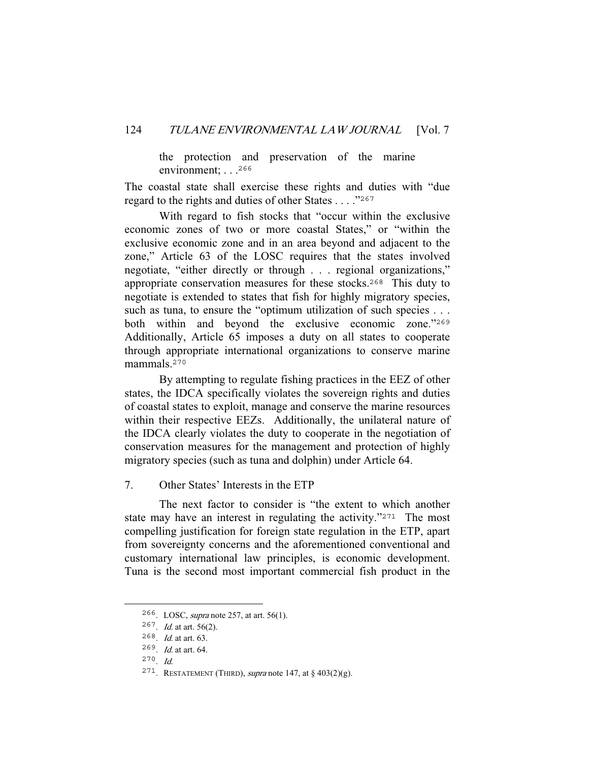the protection and preservation of the marine environment; . . .<sup>266</sup>

The coastal state shall exercise these rights and duties with "due regard to the rights and duties of other States . . . ."<sup>267</sup>

 With regard to fish stocks that "occur within the exclusive economic zones of two or more coastal States," or "within the exclusive economic zone and in an area beyond and adjacent to the zone," Article 63 of the LOSC requires that the states involved negotiate, "either directly or through . . . regional organizations," appropriate conservation measures for these stocks.<sup>268</sup> This duty to negotiate is extended to states that fish for highly migratory species, such as tuna, to ensure the "optimum utilization of such species . . . both within and beyond the exclusive economic zone."<sup>269</sup> Additionally, Article 65 imposes a duty on all states to cooperate through appropriate international organizations to conserve marine mammals.<sup>270</sup>

 By attempting to regulate fishing practices in the EEZ of other states, the IDCA specifically violates the sovereign rights and duties of coastal states to exploit, manage and conserve the marine resources within their respective EEZs. Additionally, the unilateral nature of the IDCA clearly violates the duty to cooperate in the negotiation of conservation measures for the management and protection of highly migratory species (such as tuna and dolphin) under Article 64.

7. Other States' Interests in the ETP

 The next factor to consider is "the extent to which another state may have an interest in regulating the activity."<sup>271</sup> The most compelling justification for foreign state regulation in the ETP, apart from sovereignty concerns and the aforementioned conventional and customary international law principles, is economic development. Tuna is the second most important commercial fish product in the

<sup>266</sup>. LOSC, supra note 257, at art. 56(1).

 $267$ . *Id.* at art. 56(2).

<sup>268</sup>. Id. at art. 63.

<sup>269</sup>. Id. at art. 64.

<sup>270</sup>. Id.

<sup>&</sup>lt;sup>271</sup>. RESTATEMENT (THIRD), *supra* note 147, at § 403(2)(g).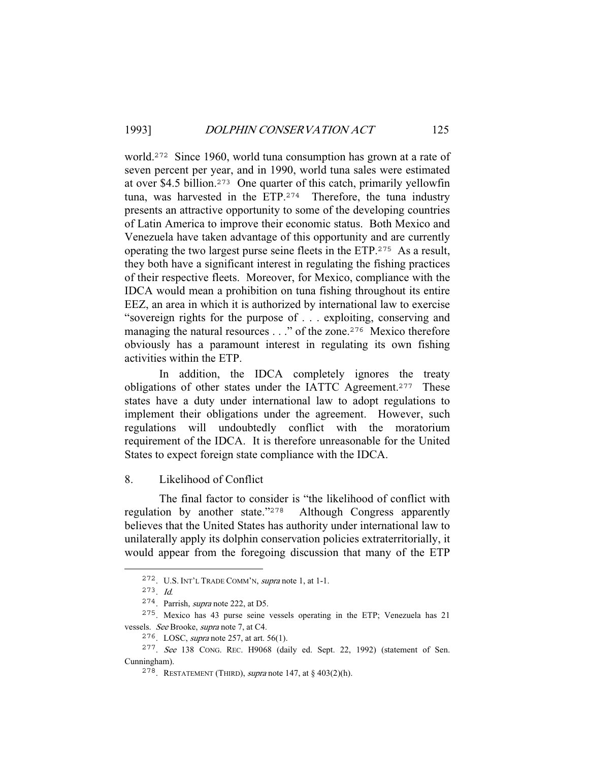world.<sup>272</sup> Since 1960, world tuna consumption has grown at a rate of seven percent per year, and in 1990, world tuna sales were estimated at over \$4.5 billion.<sup>273</sup> One quarter of this catch, primarily yellowfin tuna, was harvested in the ETP.<sup>274</sup> Therefore, the tuna industry presents an attractive opportunity to some of the developing countries of Latin America to improve their economic status. Both Mexico and Venezuela have taken advantage of this opportunity and are currently operating the two largest purse seine fleets in the ETP.<sup>275</sup> As a result, they both have a significant interest in regulating the fishing practices of their respective fleets. Moreover, for Mexico, compliance with the IDCA would mean a prohibition on tuna fishing throughout its entire EEZ, an area in which it is authorized by international law to exercise "sovereign rights for the purpose of . . . exploiting, conserving and managing the natural resources . . ." of the zone.<sup>276</sup> Mexico therefore obviously has a paramount interest in regulating its own fishing activities within the ETP.

 In addition, the IDCA completely ignores the treaty obligations of other states under the IATTC Agreement.<sup>277</sup> These states have a duty under international law to adopt regulations to implement their obligations under the agreement. However, such regulations will undoubtedly conflict with the moratorium requirement of the IDCA. It is therefore unreasonable for the United States to expect foreign state compliance with the IDCA.

8. Likelihood of Conflict

 The final factor to consider is "the likelihood of conflict with regulation by another state."<sup>278</sup> Although Congress apparently believes that the United States has authority under international law to unilaterally apply its dolphin conservation policies extraterritorially, it would appear from the foregoing discussion that many of the ETP

<sup>272</sup>. U.S. INT'L TRADE COMM'N, supra note 1, at 1-1.

<sup>273</sup>. Id.

<sup>274</sup>. Parrish, supra note 222, at D5.

<sup>275</sup>. Mexico has 43 purse seine vessels operating in the ETP; Venezuela has 21 vessels. See Brooke, supra note 7, at C4.

<sup>276</sup>. LOSC, supra note 257, at art. 56(1).

<sup>277</sup>. See 138 CONG. REC. H9068 (daily ed. Sept. 22, 1992) (statement of Sen. Cunningham).

<sup>&</sup>lt;sup>278</sup>. RESTATEMENT (THIRD), *supra* note 147, at  $\S$  403(2)(h).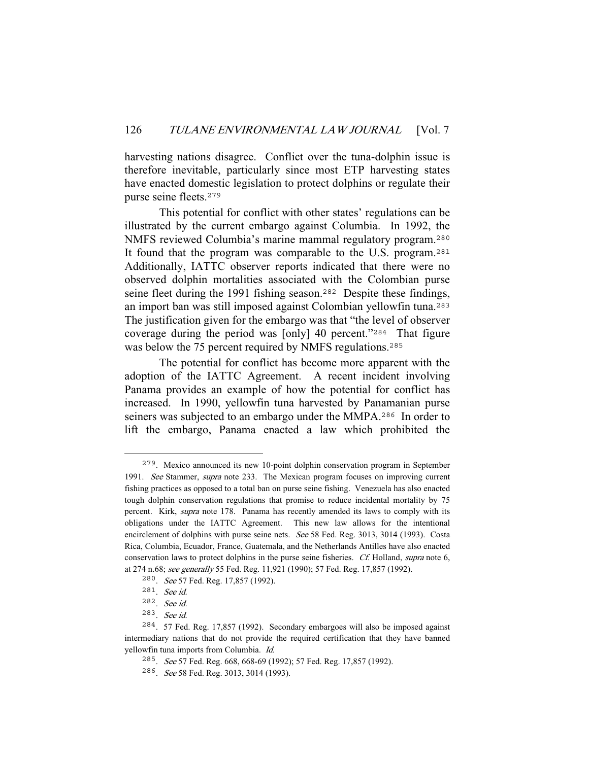harvesting nations disagree. Conflict over the tuna-dolphin issue is therefore inevitable, particularly since most ETP harvesting states have enacted domestic legislation to protect dolphins or regulate their purse seine fleets.<sup>279</sup>

 This potential for conflict with other states' regulations can be illustrated by the current embargo against Columbia. In 1992, the NMFS reviewed Columbia's marine mammal regulatory program.<sup>280</sup> It found that the program was comparable to the U.S. program.<sup>281</sup> Additionally, IATTC observer reports indicated that there were no observed dolphin mortalities associated with the Colombian purse seine fleet during the 1991 fishing season.<sup>282</sup> Despite these findings, an import ban was still imposed against Colombian yellowfin tuna.<sup>283</sup> The justification given for the embargo was that "the level of observer coverage during the period was [only] 40 percent."<sup>284</sup> That figure was below the 75 percent required by NMFS regulations.<sup>285</sup>

 The potential for conflict has become more apparent with the adoption of the IATTC Agreement. A recent incident involving Panama provides an example of how the potential for conflict has increased. In 1990, yellowfin tuna harvested by Panamanian purse seiners was subjected to an embargo under the MMPA.<sup>286</sup> In order to lift the embargo, Panama enacted a law which prohibited the

<sup>279</sup>. Mexico announced its new 10-point dolphin conservation program in September 1991. See Stammer, supra note 233. The Mexican program focuses on improving current fishing practices as opposed to a total ban on purse seine fishing. Venezuela has also enacted tough dolphin conservation regulations that promise to reduce incidental mortality by 75 percent. Kirk, supra note 178. Panama has recently amended its laws to comply with its obligations under the IATTC Agreement. This new law allows for the intentional encirclement of dolphins with purse seine nets. See 58 Fed. Reg. 3013, 3014 (1993). Costa Rica, Columbia, Ecuador, France, Guatemala, and the Netherlands Antilles have also enacted conservation laws to protect dolphins in the purse seine fisheries. *Cf.* Holland, *supra* note 6, at 274 n.68; see generally 55 Fed. Reg. 11,921 (1990); 57 Fed. Reg. 17,857 (1992).

<sup>280</sup>. See 57 Fed. Reg. 17,857 (1992).

<sup>281</sup>. See id.

<sup>282</sup>. See id.

<sup>283</sup>. See id.

<sup>284</sup>. 57 Fed. Reg. 17,857 (1992). Secondary embargoes will also be imposed against intermediary nations that do not provide the required certification that they have banned yellowfin tuna imports from Columbia. Id.

<sup>285</sup>. See 57 Fed. Reg. 668, 668-69 (1992); 57 Fed. Reg. 17,857 (1992).

<sup>286</sup>. See 58 Fed. Reg. 3013, 3014 (1993).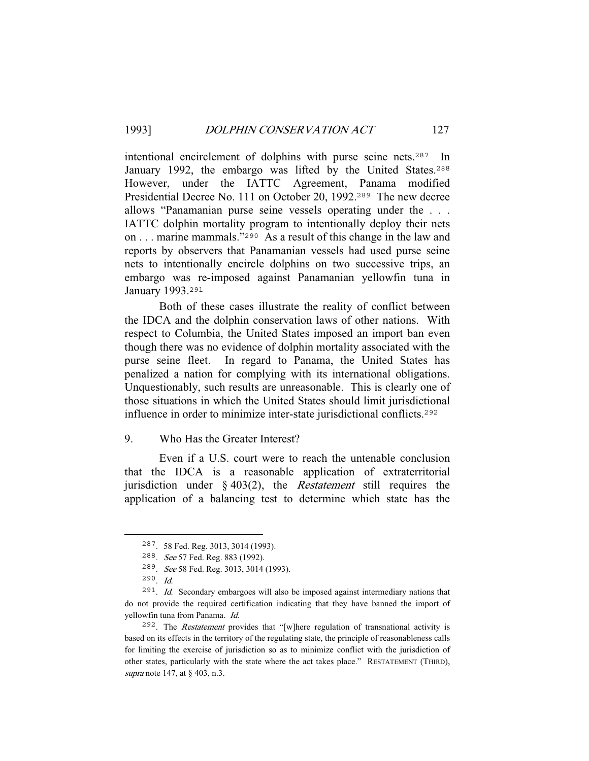intentional encirclement of dolphins with purse seine nets.<sup>287</sup> In January 1992, the embargo was lifted by the United States.<sup>288</sup> However, under the IATTC Agreement, Panama modified Presidential Decree No. 111 on October 20, 1992.<sup>289</sup> The new decree allows "Panamanian purse seine vessels operating under the . . . IATTC dolphin mortality program to intentionally deploy their nets on . . . marine mammals."<sup>290</sup> As a result of this change in the law and reports by observers that Panamanian vessels had used purse seine nets to intentionally encircle dolphins on two successive trips, an embargo was re-imposed against Panamanian yellowfin tuna in January 1993.<sup>291</sup>

 Both of these cases illustrate the reality of conflict between the IDCA and the dolphin conservation laws of other nations. With respect to Columbia, the United States imposed an import ban even though there was no evidence of dolphin mortality associated with the purse seine fleet. In regard to Panama, the United States has penalized a nation for complying with its international obligations. Unquestionably, such results are unreasonable. This is clearly one of those situations in which the United States should limit jurisdictional influence in order to minimize inter-state jurisdictional conflicts.<sup>292</sup>

## 9. Who Has the Greater Interest?

 Even if a U.S. court were to reach the untenable conclusion that the IDCA is a reasonable application of extraterritorial jurisdiction under  $\S$  403(2), the *Restatement* still requires the application of a balancing test to determine which state has the

<sup>287</sup>. 58 Fed. Reg. 3013, 3014 (1993).

<sup>288</sup>. See 57 Fed. Reg. 883 (1992).

<sup>289</sup>. See 58 Fed. Reg. 3013, 3014 (1993).

 $290$ . *Id.* 

<sup>291</sup>. Id. Secondary embargoes will also be imposed against intermediary nations that do not provide the required certification indicating that they have banned the import of yellowfin tuna from Panama. Id.

<sup>&</sup>lt;sup>292</sup>. The *Restatement* provides that "[w]here regulation of transnational activity is based on its effects in the territory of the regulating state, the principle of reasonableness calls for limiting the exercise of jurisdiction so as to minimize conflict with the jurisdiction of other states, particularly with the state where the act takes place." RESTATEMENT (THIRD), supra note 147, at § 403, n.3.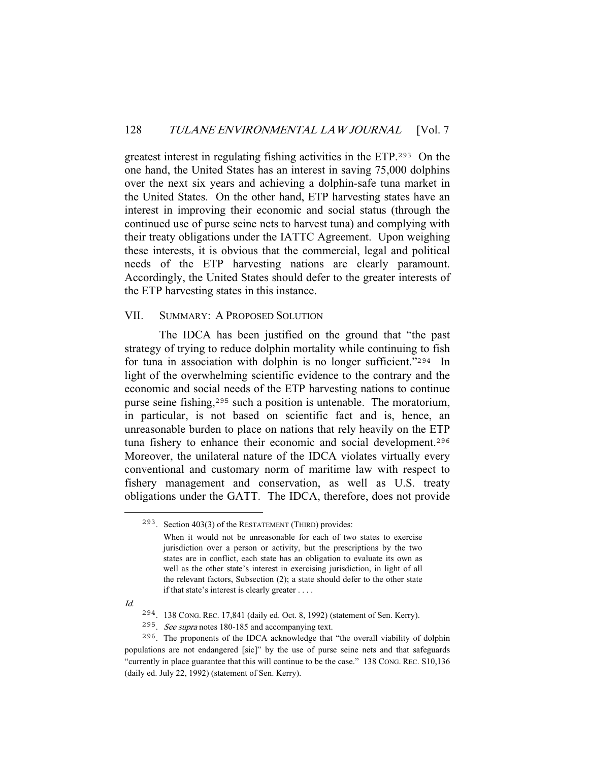greatest interest in regulating fishing activities in the ETP.<sup>293</sup> On the one hand, the United States has an interest in saving 75,000 dolphins over the next six years and achieving a dolphin-safe tuna market in the United States. On the other hand, ETP harvesting states have an interest in improving their economic and social status (through the continued use of purse seine nets to harvest tuna) and complying with their treaty obligations under the IATTC Agreement. Upon weighing these interests, it is obvious that the commercial, legal and political needs of the ETP harvesting nations are clearly paramount. Accordingly, the United States should defer to the greater interests of the ETP harvesting states in this instance.

#### VII. SUMMARY: A PROPOSED SOLUTION

 The IDCA has been justified on the ground that "the past strategy of trying to reduce dolphin mortality while continuing to fish for tuna in association with dolphin is no longer sufficient."<sup>294</sup> In light of the overwhelming scientific evidence to the contrary and the economic and social needs of the ETP harvesting nations to continue purse seine fishing,<sup>295</sup> such a position is untenable. The moratorium, in particular, is not based on scientific fact and is, hence, an unreasonable burden to place on nations that rely heavily on the ETP tuna fishery to enhance their economic and social development.<sup>296</sup> Moreover, the unilateral nature of the IDCA violates virtually every conventional and customary norm of maritime law with respect to fishery management and conservation, as well as U.S. treaty obligations under the GATT. The IDCA, therefore, does not provide

Id.

<sup>293</sup>. Section 403(3) of the RESTATEMENT (THIRD) provides: When it would not be unreasonable for each of two states to exercise jurisdiction over a person or activity, but the prescriptions by the two states are in conflict, each state has an obligation to evaluate its own as well as the other state's interest in exercising jurisdiction, in light of all the relevant factors, Subsection (2); a state should defer to the other state if that state's interest is clearly greater . . . .

<sup>294</sup>. 138 CONG. REC. 17,841 (daily ed. Oct. 8, 1992) (statement of Sen. Kerry).

<sup>295</sup>. See supra notes 180-185 and accompanying text.

<sup>296</sup>. The proponents of the IDCA acknowledge that "the overall viability of dolphin populations are not endangered [sic]" by the use of purse seine nets and that safeguards "currently in place guarantee that this will continue to be the case." 138 CONG. REC. S10,136 (daily ed. July 22, 1992) (statement of Sen. Kerry).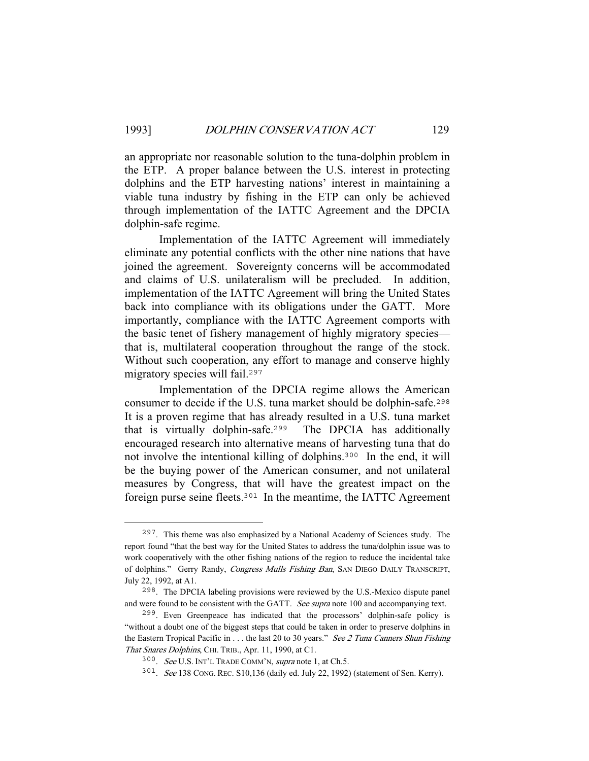an appropriate nor reasonable solution to the tuna-dolphin problem in the ETP. A proper balance between the U.S. interest in protecting dolphins and the ETP harvesting nations' interest in maintaining a viable tuna industry by fishing in the ETP can only be achieved through implementation of the IATTC Agreement and the DPCIA dolphin-safe regime.

 Implementation of the IATTC Agreement will immediately eliminate any potential conflicts with the other nine nations that have joined the agreement. Sovereignty concerns will be accommodated and claims of U.S. unilateralism will be precluded. In addition, implementation of the IATTC Agreement will bring the United States back into compliance with its obligations under the GATT. More importantly, compliance with the IATTC Agreement comports with the basic tenet of fishery management of highly migratory species that is, multilateral cooperation throughout the range of the stock. Without such cooperation, any effort to manage and conserve highly migratory species will fail.<sup>297</sup>

 Implementation of the DPCIA regime allows the American consumer to decide if the U.S. tuna market should be dolphin-safe.<sup>298</sup> It is a proven regime that has already resulted in a U.S. tuna market that is virtually dolphin-safe.<sup>299</sup> The DPCIA has additionally encouraged research into alternative means of harvesting tuna that do not involve the intentional killing of dolphins.<sup>300</sup> In the end, it will be the buying power of the American consumer, and not unilateral measures by Congress, that will have the greatest impact on the foreign purse seine fleets.<sup>301</sup> In the meantime, the IATTC Agreement

<sup>297</sup>. This theme was also emphasized by a National Academy of Sciences study. The report found "that the best way for the United States to address the tuna/dolphin issue was to work cooperatively with the other fishing nations of the region to reduce the incidental take of dolphins." Gerry Randy, Congress Mulls Fishing Ban, SAN DIEGO DAILY TRANSCRIPT, July 22, 1992, at A1.

<sup>298</sup>. The DPCIA labeling provisions were reviewed by the U.S.-Mexico dispute panel and were found to be consistent with the GATT. See supra note 100 and accompanying text.

<sup>299</sup>. Even Greenpeace has indicated that the processors' dolphin-safe policy is "without a doubt one of the biggest steps that could be taken in order to preserve dolphins in the Eastern Tropical Pacific in  $\dots$  the last 20 to 30 years." See 2 Tuna Canners Shun Fishing That Snares Dolphins, CHI. TRIB., Apr. 11, 1990, at C1.

<sup>300</sup>. See U.S. INT'L TRADE COMM'N, supra note 1, at Ch.5.

<sup>301</sup>. See 138 CONG. REC. S10,136 (daily ed. July 22, 1992) (statement of Sen. Kerry).